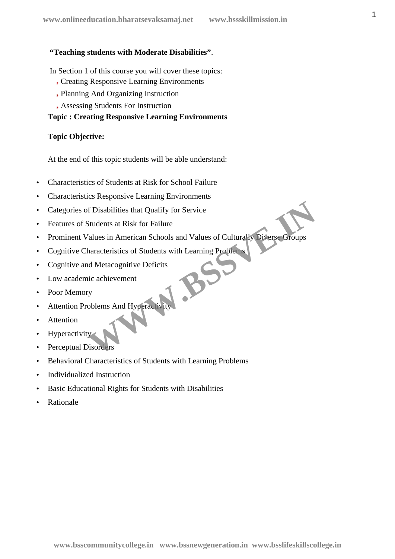### **"Teaching students with Moderate Disabilities"**.

In Section 1 of this course you will cover these topics:

- Creating Responsive Learning Environments
- Planning And Organizing Instruction
- Assessing Students For Instruction

### **Topic : Creating Responsive Learning Environments**

### **Topic Objective:**

At the end of this topic students will be able understand:

- Characteristics of Students at Risk for School Failure
- Characteristics Responsive Learning Environments
- Categories of Disabilities that Qualify for Service
- Features of Students at Risk for Failure
- Prominent Values in American Schools and Values of Culturally Diverse Groups The Disabilities that Qualify for Service<br>Students at Risk for Failure<br>Values in American Schools and Values of Cultural Scheenes<br>Management<br>International Metacognitive Deficits<br>ince achievement<br>Voblems And Hyperactivity
- Cognitive Characteristics of Students with Learning Problems
- Cognitive and Metacognitive Deficits
- Low academic achievement
- Poor Memory
- Attention Problems And Hyperactivity
- Attention
- Hyperactivity
- Perceptual Disorders
- Behavioral Characteristics of Students with Learning Problems
- Individualized Instruction
- Basic Educational Rights for Students with Disabilities
- Rationale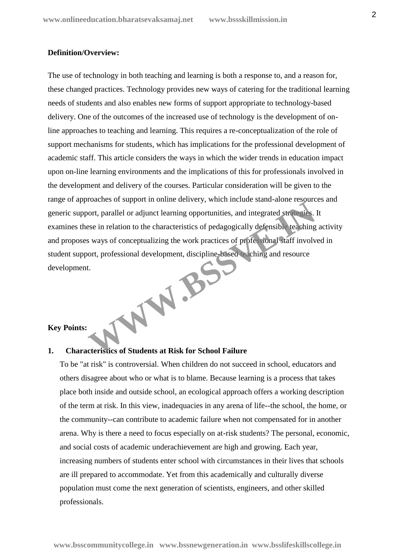### **Definition/Overview:**

The use of technology in both teaching and learning is both a response to, and a reason for, these changed practices. Technology provides new ways of catering for the traditional learning needs of students and also enables new forms of support appropriate to technology-based delivery. One of the outcomes of the increased use of technology is the development of online approaches to teaching and learning. This requires a re-conceptualization of the role of support mechanisms for students, which has implications for the professional development of academic staff. This article considers the ways in which the wider trends in education impact upon on-line learning environments and the implications of this for professionals involved in the development and delivery of the courses. Particular consideration will be given to the range of approaches of support in online delivery, which include stand-alone resources and generic support, parallel or adjunct learning opportunities, and integrated strategies. It examines these in relation to the characteristics of pedagogically defensible teaching activity and proposes ways of conceptualizing the work practices of professional staff involved in student support, professional development, discipline-based teaching and resource development. W.BSC

### **Key Points:**

### **1. Characteristics of Students at Risk for School Failure**

To be "at risk" is controversial. When children do not succeed in school, educators and others disagree about who or what is to blame. Because learning is a process that takes place both inside and outside school, an ecological approach offers a working description of the term at risk. In this view, inadequacies in any arena of life--the school, the home, or the community--can contribute to academic failure when not compensated for in another arena. Why is there a need to focus especially on at-risk students? The personal, economic, and social costs of academic underachievement are high and growing. Each year, increasing numbers of students enter school with circumstances in their lives that schools are ill prepared to accommodate. Yet from this academically and culturally diverse population must come the next generation of scientists, engineers, and other skilled professionals.

2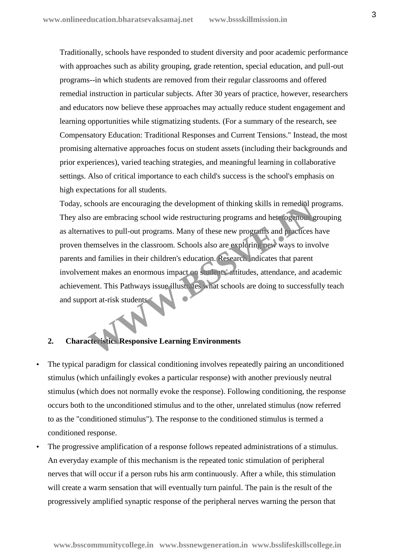Traditionally, schools have responded to student diversity and poor academic performance with approaches such as ability grouping, grade retention, special education, and pull-out programs--in which students are removed from their regular classrooms and offered remedial instruction in particular subjects. After 30 years of practice, however, researchers and educators now believe these approaches may actually reduce student engagement and learning opportunities while stigmatizing students. (For a summary of the research, see Compensatory Education: Traditional Responses and Current Tensions." Instead, the most promising alternative approaches focus on student assets (including their backgrounds and prior experiences), varied teaching strategies, and meaningful learning in collaborative settings. Also of critical importance to each child's success is the school's emphasis on high expectations for all students.

Today, schools are encouraging the development of thinking skills in remedial programs. They also are embracing school wide restructuring programs and heterogenous grouping as alternatives to pull-out programs. Many of these new programs and practices have proven themselves in the classroom. Schools also are exploring new ways to involve parents and families in their children's education. Research indicates that parent involvement makes an enormous impact on students' attitudes, attendance, and academic achievement. This Pathways issue illustrates what schools are doing to successfully teach and support at-risk students. chools are encouraging the development of thinking skills in remedial provide are embracing school wide restructuring programs and het rogenous gatives to pull-out programs. Many of these new programs and precises a<br>hemsel

### **2. Characteristics Responsive Learning Environments**

- The typical paradigm for classical conditioning involves repeatedly pairing an unconditioned stimulus (which unfailingly evokes a particular response) with another previously neutral stimulus (which does not normally evoke the response). Following conditioning, the response occurs both to the unconditioned stimulus and to the other, unrelated stimulus (now referred to as the "conditioned stimulus"). The response to the conditioned stimulus is termed a conditioned response.
- The progressive amplification of a response follows repeated administrations of a stimulus. An everyday example of this mechanism is the repeated tonic stimulation of peripheral nerves that will occur if a person rubs his arm continuously. After a while, this stimulation will create a warm sensation that will eventually turn painful. The pain is the result of the progressively amplified synaptic response of the peripheral nerves warning the person that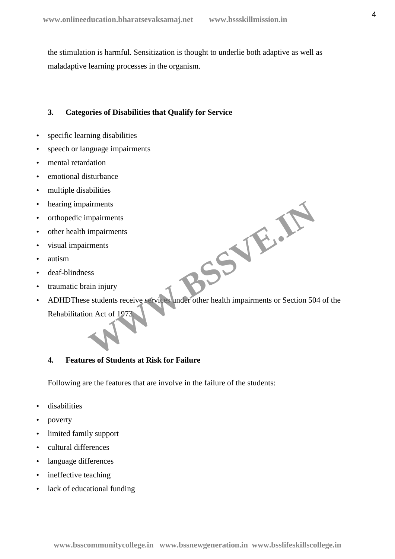the stimulation is harmful. Sensitization is thought to underlie both adaptive as well as maladaptive learning processes in the organism.

### **3. Categories of Disabilities that Qualify for Service**

- specific learning disabilities
- speech or language impairments
- mental retardation
- emotional disturbance
- multiple disabilities
- hearing impairments
- orthopedic impairments
- other health impairments
- visual impairments
- autism
- deaf-blindness
- traumatic brain injury
- ADHDThese students receive services under other health impairments or Section 504 of the Rehabilitation Act of 197

**WWW.BSSVE.IN**

### **4. Features of Students at Risk for Failure**

Following are the features that are involve in the failure of the students:

- disabilities
- poverty
- limited family support
- cultural differences
- language differences
- ineffective teaching
- lack of educational funding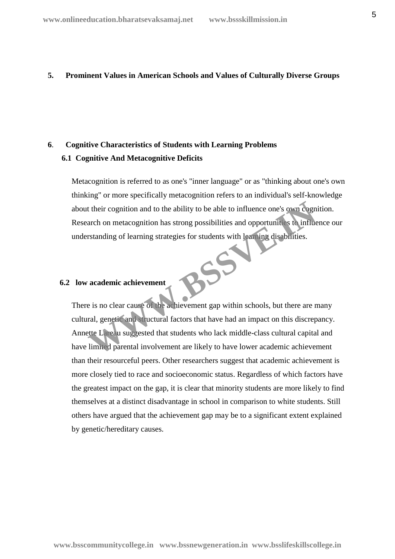### **5. Prominent Values in American Schools and Values of Culturally Diverse Groups**

### **6**. **Cognitive Characteristics of Students with Learning Problems 6.1 Cognitive And Metacognitive Deficits**

Metacognition is referred to as one's "inner language" or as "thinking about one's own thinking" or more specifically metacognition refers to an individual's self-knowledge about their cognition and to the ability to be able to influence one's own cognition. Research on metacognition has strong possibilities and opportunities to influence our understanding of learning strategies for students with learning disabilities.

### **6.2 low academic achievement**

There is no clear cause of the achievement gap within schools, but there are many cultural, genetic and structural factors that have had an impact on this discrepancy. Annette Lareau suggested that students who lack middle-class cultural capital and have limited parental involvement are likely to have lower academic achievement than their resourceful peers. Other researchers suggest that academic achievement is more closely tied to race and socioeconomic status. Regardless of which factors have the greatest impact on the gap, it is clear that minority students are more likely to find themselves at a distinct disadvantage in school in comparison to white students. Still others have argued that the achievement gap may be to a significant extent explained by genetic/hereditary causes. The their cognition and to the ability to be able to influence one's own cogner and on metacognition has strong possibilities and opportunites to influenting of learning strategies for students with learning disabilities.<br>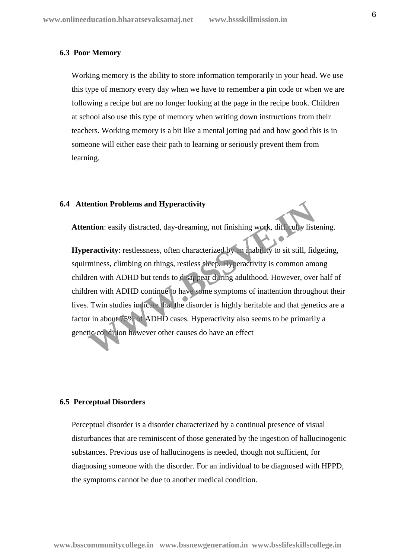### **6.3 Poor Memory**

Working memory is the ability to store information temporarily in your head. We use this type of memory every day when we have to remember a pin code or when we are following a recipe but are no longer looking at the page in the recipe book. Children at school also use this type of memory when writing down instructions from their teachers. Working memory is a bit like a mental jotting pad and how good this is in someone will either ease their path to learning or seriously prevent them from learning.

### **6.4 Attention Problems and Hyperactivity**

Attention: easily distracted, day-dreaming, not finishing work, difficulty listening.

**Hyperactivity**: restlessness, often characterized by an inability to sit still, fidgeting, squirminess, climbing on things, restless sleep. Hyperactivity is common among children with ADHD but tends to disappear during adulthood. However, over half of children with ADHD continue to have some symptoms of inattention throughout their lives. Twin studies indicate that the disorder is highly heritable and that genetics are a factor in about 75% of ADHD cases. Hyperactivity also seems to be primarily a genetic condition however other causes do have an effect **example 12**<br> **Example 12**<br> **Example 12**<br> **Example 12**<br> **Example 12**<br> **Example 12**<br> **Example 12**<br> **Example 12**<br> **Example 12**<br> **Example 12**<br> **Example 12**<br> **Example 12**<br> **Example 12**<br> **Example 12**<br> **Example 12**<br> **Example 12** 

### **6.5 Perceptual Disorders**

Perceptual disorder is a disorder characterized by a continual presence of visual disturbances that are reminiscent of those generated by the ingestion of hallucinogenic substances. Previous use of hallucinogens is needed, though not sufficient, for diagnosing someone with the disorder. For an individual to be diagnosed with HPPD, the symptoms cannot be due to another medical condition.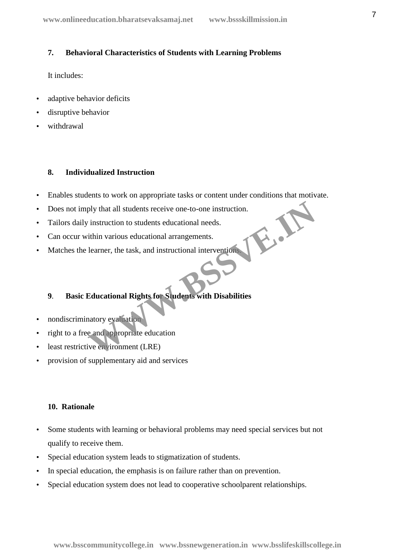### **7. Behavioral Characteristics of Students with Learning Problems**

It includes:

- adaptive behavior deficits
- disruptive behavior
- withdrawal

### **8. Individualized Instruction**

- Enables students to work on appropriate tasks or content under conditions that motivate.
- Does not imply that all students receive one-to-one instruction.<br>• Tailors daily instruction to students educational needs.<br>• Can occur within various educational arrangements.<br>• Matches the learner of
- Tailors daily instruction to students educational needs.
- Can occur within various educational arrangements.
- Matches the learner, the task, and instructional interventions.

# **9**. **Basic Educational Rights for Students with Disabilities** ply that all students receive one-to-one instruction.<br>
instruction to students educational needs.<br>
learner, the task, and instructional interventions<br>
learner, the task, and instructional interventions<br> **Educational Rights**

- nondiscriminatory evaluation
- right to a free and appropriate education
- least restrictive environment (LRE)
- provision of supplementary aid and services

### **10. Rationale**

- Some students with learning or behavioral problems may need special services but not qualify to receive them.
- Special education system leads to stigmatization of students.
- In special education, the emphasis is on failure rather than on prevention.
- Special education system does not lead to cooperative schoolparent relationships.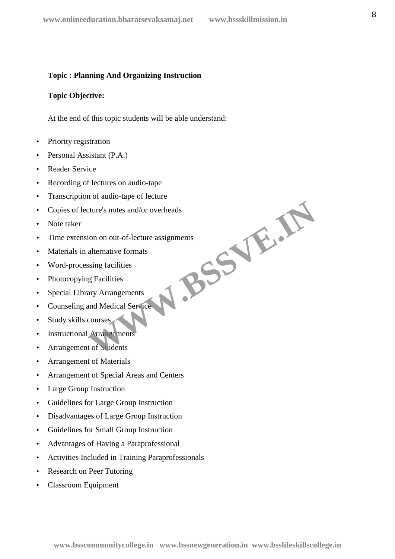### **Topic : Planning And Organizing Instruction**

### **Topic Objective:**

At the end of this topic students will be able understand:

- Priority registration
- Personal Assistant (P.A.)
- Reader Service
- Recording of lectures on audio-tape
- Transcription of audio-tape of lecture
- Copies of lecture's notes and/or overheads
- Note taker
- Time extension on out-of-lecture assignments **WWW.BSSVE.IN**
- Materials in alternative formats
- Word-processing facilities
- Photocopying Facilities
- Special Library Arrangements
- Counseling and Medical Service
- Study skills courses
- Instructional Arrangements
- Arrangement of Students
- Arrangement of Materials
- Arrangement of Special Areas and Centers
- Large Group Instruction
- Guidelines for Large Group Instruction
- Disadvantages of Large Group Instruction
- Guidelines for Small Group Instruction
- Advantages of Having a Paraprofessional
- Activities Included in Training Paraprofessionals
- Research on Peer Tutoring
- Classroom Equipment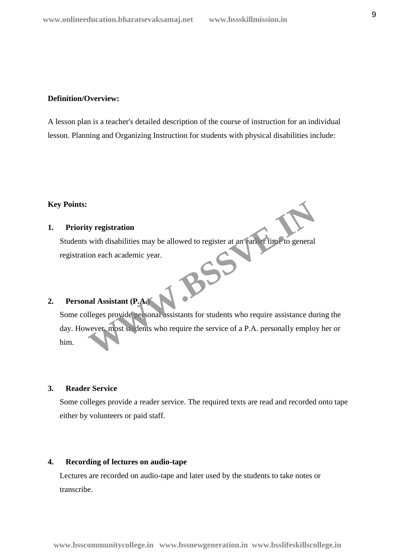### **Definition/Overview:**

A lesson plan is a teacher's detailed description of the course of instruction for an individual lesson. Planning and Organizing Instruction for students with physical disabilities include:

### **Key Points:**

### **1. Priority registration**

Students with disabilities may be allowed to register at an earlier time to general registration each academic year. **WASS** 

### **2. Personal Assistant (P.A.)**

Some colleges provide personal assistants for students who require assistance during the day. However, most students who require the service of a P.A. personally employ her or him.

### **3. Reader Service**

Some colleges provide a reader service. The required texts are read and recorded onto tape either by volunteers or paid staff.

### **4. Recording of lectures on audio-tape**

Lectures are recorded on audio-tape and later used by the students to take notes or transcribe.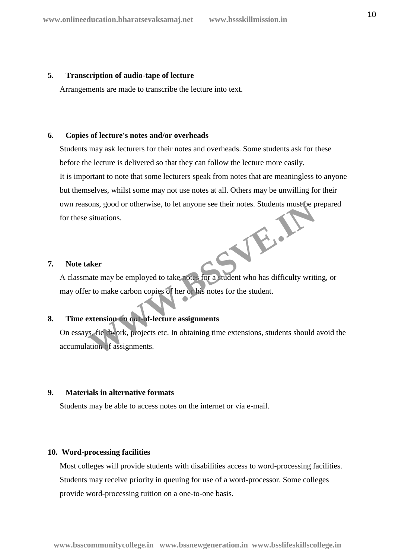### **5. Transcription of audio-tape of lecture**

Arrangements are made to transcribe the lecture into text.

### **6. Copies of lecture's notes and/or overheads**

Students may ask lecturers for their notes and overheads. Some students ask for these before the lecture is delivered so that they can follow the lecture more easily. It is important to note that some lecturers speak from notes that are meaningless to anyone but themselves, whilst some may not use notes at all. Others may be unwilling for their own reasons, good or otherwise, to let anyone see their notes. Students must be prepared for these situations. **WWW.BSSVE.IN**

### **7. Note taker**

A classmate may be employed to take notes for a student who has difficulty writing, or may offer to make carbon copies of her or his notes for the student.

### **8. Time extension on out-of-lecture assignments**

On essays, fieldwork, projects etc. In obtaining time extensions, students should avoid the accumulation of assignments.

### **9. Materials in alternative formats**

Students may be able to access notes on the internet or via e-mail.

### **10. Word-processing facilities**

Most colleges will provide students with disabilities access to word-processing facilities. Students may receive priority in queuing for use of a word-processor. Some colleges provide word-processing tuition on a one-to-one basis.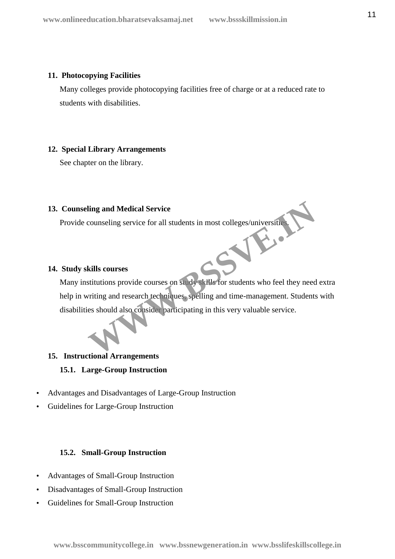### **11. Photocopying Facilities**

Many colleges provide photocopying facilities free of charge or at a reduced rate to students with disabilities.

### **12. Special Library Arrangements**

See chapter on the library.

### **13. Counseling and Medical Service**

Provide counseling service for all students in most colleges/universities. WWW.BSITES

### **14. Study skills courses**

Many institutions provide courses on study skills for students who feel they need extra help in writing and research techniques, spelling and time-management. Students with disabilities should also consider participating in this very valuable service.

### **15. Instructional Arrangements**

### **15.1. Large-Group Instruction**

- Advantages and Disadvantages of Large-Group Instruction
- Guidelines for Large-Group Instruction

### **15.2. Small-Group Instruction**

- Advantages of Small-Group Instruction
- Disadvantages of Small-Group Instruction
- Guidelines for Small-Group Instruction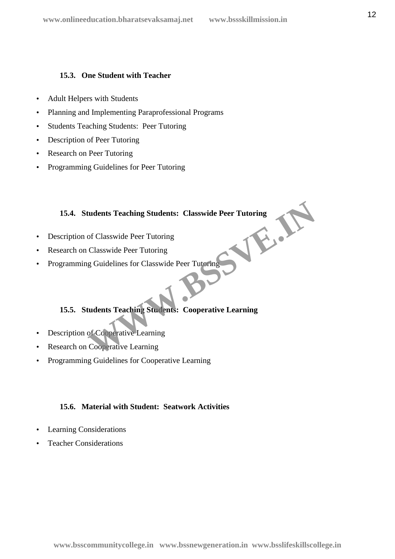### **15.3. One Student with Teacher**

- Adult Helpers with Students
- Planning and Implementing Paraprofessional Programs
- Students Teaching Students: Peer Tutoring
- Description of Peer Tutoring
- Research on Peer Tutoring
- Programming Guidelines for Peer Tutoring

### **15.4. Students Teaching Students: Classwide Peer Tutoring WWW.BSSVE.IN**

- Description of Classwide Peer Tutoring
- Research on Classwide Peer Tutoring
- Programming Guidelines for Classwide Peer Tutoring

### **15.5. Students Teaching Students: Cooperative Learning**

- Description of Cooperative Learning
- Research on Cooperative Learning
- Programming Guidelines for Cooperative Learning

### **15.6. Material with Student: Seatwork Activities**

- Learning Considerations
- Teacher Considerations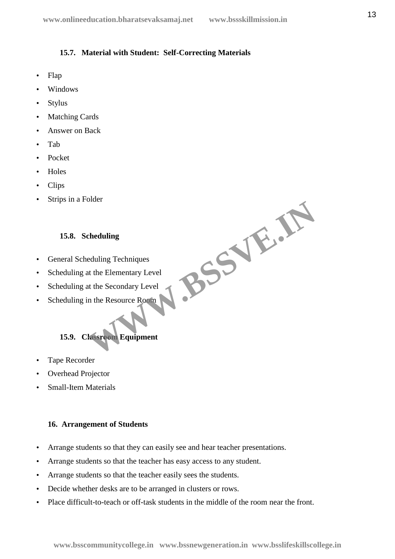**WWW.BSSVE.IN**

### **15.7. Material with Student: Self-Correcting Materials**

- Flap
- Windows
- Stylus
- Matching Cards
- Answer on Back
- Tab
- Pocket
- **Holes**
- Clips
- Strips in a Folder

### **15.8. Scheduling**

- General Scheduling Techniques
- Scheduling at the Elementary Level
- Scheduling at the Secondary Level
- Scheduling in the Resource Room

### **15.9. Classroom Equipment**

- Tape Recorder
- Overhead Projector
- Small-Item Materials

### **16. Arrangement of Students**

- Arrange students so that they can easily see and hear teacher presentations.
- Arrange students so that the teacher has easy access to any student.
- Arrange students so that the teacher easily sees the students.
- Decide whether desks are to be arranged in clusters or rows.
- Place difficult-to-teach or off-task students in the middle of the room near the front.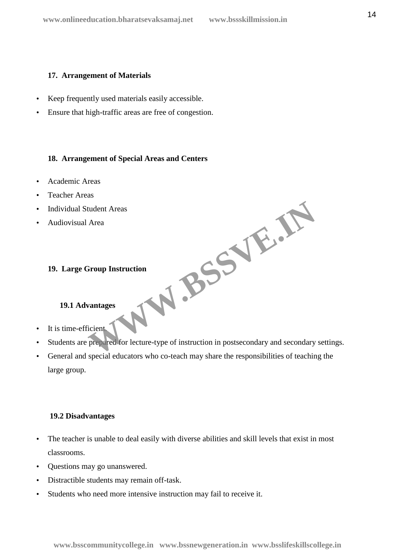### **17. Arrangement of Materials**

- Keep frequently used materials easily accessible.
- Ensure that high-traffic areas are free of congestion.

### **18. Arrangement of Special Areas and Centers**

- Academic Areas
- Teacher Areas
- Individual Student Areas
- Audiovisual Area

### **19. Large Group Instruction**

### **19.1 Advantages**

- It is time-efficient.
- Students are prepared for lecture-type of instruction in postsecondary and secondary settings. **WWW.BSSVE.IN**
- General and special educators who co-teach may share the responsibilities of teaching the large group.

### **19.2 Disadvantages**

- The teacher is unable to deal easily with diverse abilities and skill levels that exist in most classrooms.
- Questions may go unanswered.
- Distractible students may remain off-task.
- Students who need more intensive instruction may fail to receive it.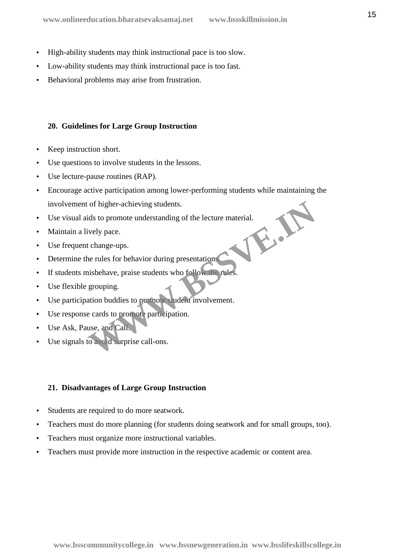- High-ability students may think instructional pace is too slow.
- Low-ability students may think instructional pace is too fast.
- Behavioral problems may arise from frustration.

### **20. Guidelines for Large Group Instruction**

- Keep instruction short.
- Use questions to involve students in the lessons.
- Use lecture-pause routines (RAP).
- Encourage active participation among lower-performing students while maintaining the involvement of higher-achieving students. **WWW.BSSVE.IN**
- Use visual aids to promote understanding of the lecture material.
- Maintain a lively pace.
- Use frequent change-ups.
- Determine the rules for behavior during presentations.
- If students misbehave, praise students who follow the rules.
- Use flexible grouping.
- Use participation buddies to promote student involvement.
- Use response cards to promote participation.
- Use Ask, Pause, and Call.
- Use signals to avoid surprise call-ons.

### **21. Disadvantages of Large Group Instruction**

- Students are required to do more seatwork.
- Teachers must do more planning (for students doing seatwork and for small groups, too).
- Teachers must organize more instructional variables.
- Teachers must provide more instruction in the respective academic or content area.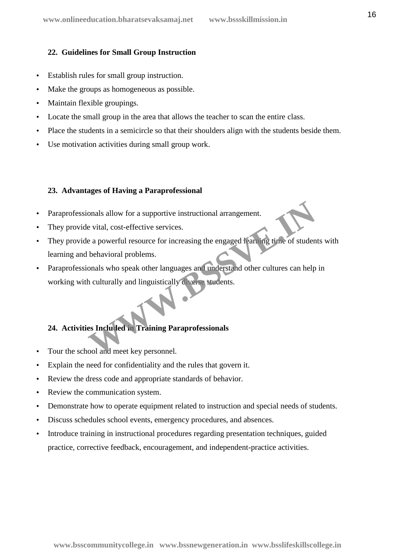### **22. Guidelines for Small Group Instruction**

- Establish rules for small group instruction.
- Make the groups as homogeneous as possible.
- Maintain flexible groupings.
- Locate the small group in the area that allows the teacher to scan the entire class.
- Place the students in a semicircle so that their shoulders align with the students beside them.
- Use motivation activities during small group work.

### **23. Advantages of Having a Paraprofessional**

- Paraprofessionals allow for a supportive instructional arrangement.
- They provide vital, cost-effective services.
- They provide a powerful resource for increasing the engaged learning time of students with learning and behavioral problems.
- Paraprofessionals who speak other languages and understand other cultures can help in working with culturally and linguistically diverse students. onals allow for a supportive instructional arrangement.<br>
e vital, cost-effective services.<br>
e a powerful resource for increasing the engaged fearing time of studen<br>
behavioral problems.<br>
onals who speak other languages and

### **24. Activities Included in Training Paraprofessionals**

- Tour the school and meet key personnel.
- Explain the need for confidentiality and the rules that govern it.
- Review the dress code and appropriate standards of behavior.
- Review the communication system.
- Demonstrate how to operate equipment related to instruction and special needs of students.
- Discuss schedules school events, emergency procedures, and absences.
- Introduce training in instructional procedures regarding presentation techniques, guided practice, corrective feedback, encouragement, and independent-practice activities.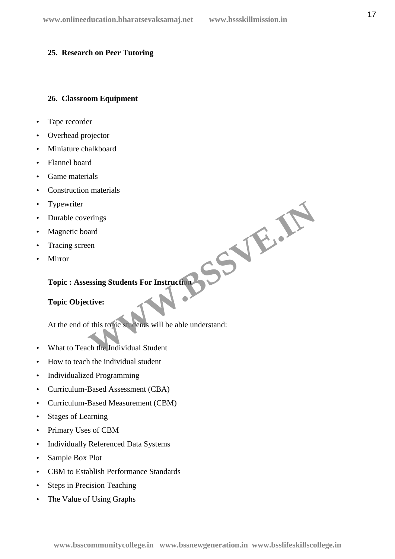### **25. Research on Peer Tutoring**

### **26. Classroom Equipment**

- Tape recorder
- Overhead projector
- Miniature chalkboard
- Flannel board
- Game materials
- Construction materials
- Typewriter
- Durable coverings
- Magnetic board
- Tracing screen
- Mirror

## **Topic : Assessing Students For Instruction WWW.BSSVE.IN**

### **Topic Objective:**

At the end of this topic students will be able understand:

- What to Teach the Individual Student
- How to teach the individual student
- Individualized Programming
- Curriculum-Based Assessment (CBA)
- Curriculum-Based Measurement (CBM)
- Stages of Learning
- Primary Uses of CBM
- Individually Referenced Data Systems
- Sample Box Plot
- CBM to Establish Performance Standards
- Steps in Precision Teaching
- The Value of Using Graphs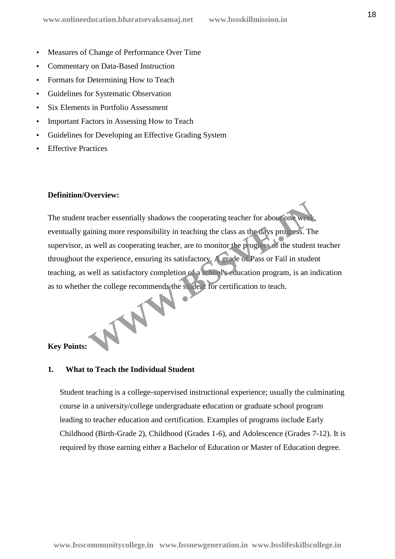- Measures of Change of Performance Over Time
- Commentary on Data-Based Instruction
- Formats for Determining How to Teach
- Guidelines for Systematic Observation
- Six Elements in Portfolio Assessment
- Important Factors in Assessing How to Teach
- Guidelines for Developing an Effective Grading System
- Effective Practices

### **Definition/Overview:**

The student teacher essentially shadows the cooperating teacher for about one week eventually gaining more responsibility in teaching the class as the days progress. The supervisor, as well as cooperating teacher, are to monitor the progress of the student teacher throughout the experience, ensuring its satisfactory. A grade of Pass or Fail in student teaching, as well as satisfactory completion of a school's education program, is an indication as to whether the college recommends the student for certification to teach. teacher essentially shadows the cooperating teacher for about one week,<br>aining more responsibility in teaching the class as the days progress. The<br>is well as cooperating teacher, are to monitor the progress of the student<br>

### **Key Points:**

### **1. What to Teach the Individual Student**

Student teaching is a college-supervised instructional experience; usually the culminating course in a university/college undergraduate education or graduate school program leading to teacher education and certification. Examples of programs include Early Childhood (Birth-Grade 2), Childhood (Grades 1-6), and Adolescence (Grades 7-12). It is required by those earning either a Bachelor of Education or Master of Education degree.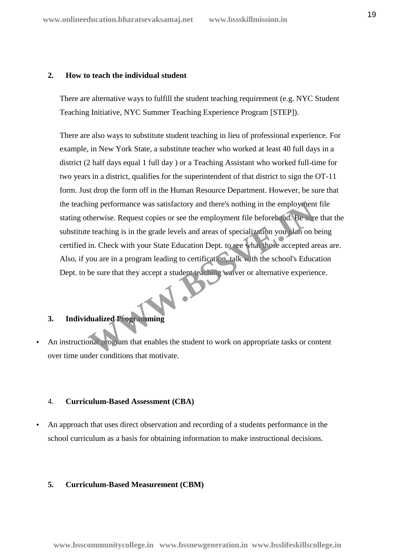### **2. How to teach the individual student**

There are alternative ways to fulfill the student teaching requirement (e.g. NYC Student Teaching Initiative, NYC Summer Teaching Experience Program [STEP]).

There are also ways to substitute student teaching in lieu of professional experience. For example, in New York State, a substitute teacher who worked at least 40 full days in a district (2 half days equal 1 full day ) or a Teaching Assistant who worked full-time for two years in a district, qualifies for the superintendent of that district to sign the OT-11 form. Just drop the form off in the Human Resource Department. However, be sure that the teaching performance was satisfactory and there's nothing in the employment file stating otherwise. Request copies or see the employment file beforehand. Be sure that the substitute teaching is in the grade levels and areas of specialization you plan on being certified in. Check with your State Education Dept. to see what those accepted areas are. Also, if you are in a program leading to certification, talk with the school's Education Dept. to be sure that they accept a student teaching waiver or alternative experience. ing performance was satisfactory and there's nothing in the employment<br>therwise. Request copies or see the employment file beforehand. Be sure<br>teaching is in the grade levels and areas of specialization you plan on t<br>in. C

### **3. Individualized Programming**

 An instructional program that enables the student to work on appropriate tasks or content over time under conditions that motivate.

### 4. **Curriculum-Based Assessment (CBA)**

 An approach that uses direct observation and recording of a students performance in the school curriculum as a basis for obtaining information to make instructional decisions.

### **5. Curriculum-Based Measurement (CBM)**

**www.bsscommunitycollege.in www.bssnewgeneration.in www.bsslifeskillscollege.in**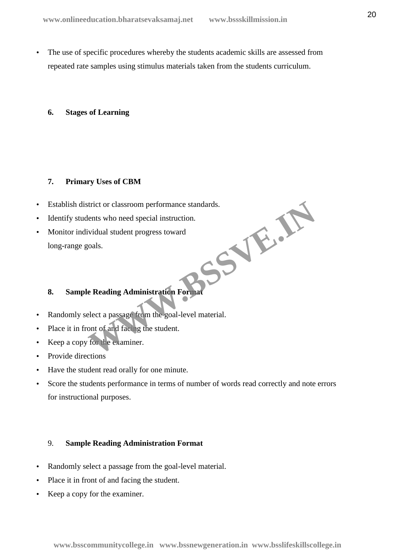The use of specific procedures whereby the students academic skills are assessed from repeated rate samples using stimulus materials taken from the students curriculum.

### **6. Stages of Learning**

### **7. Primary Uses of CBM**

- Establish district or classroom performance standards. **WWW.BSSVE.IN**
- Identify students who need special instruction.
- Monitor individual student progress toward long-range goals.

### **8. Sample Reading Administration Format**

- Randomly select a passage from the goal-level material.
- Place it in front of and facing the student.
- Keep a copy for the examiner.
- Provide directions
- Have the student read orally for one minute.
- Score the students performance in terms of number of words read correctly and note errors for instructional purposes.

### 9. **Sample Reading Administration Format**

- Randomly select a passage from the goal-level material.
- Place it in front of and facing the student.
- Keep a copy for the examiner.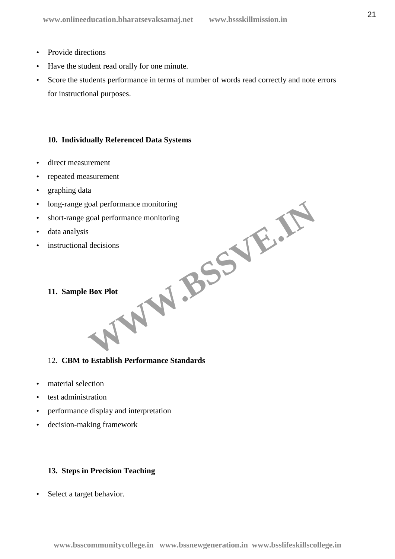- Provide directions
- Have the student read orally for one minute.
- Score the students performance in terms of number of words read correctly and note errors for instructional purposes.

### **10. Individually Referenced Data Systems**

- direct measurement
- repeated measurement
- graphing data
- long-range goal performance monitoring
- short-range goal performance monitoring WW.BSS<sup>WE.IN</sup>
- data analysis
- instructional decisions

### **11. Sample Box Plot**

### 12. **CBM to Establish Performance Standards**

- material selection
- test administration
- performance display and interpretation
- decision-making framework

### **13. Steps in Precision Teaching**

Select a target behavior.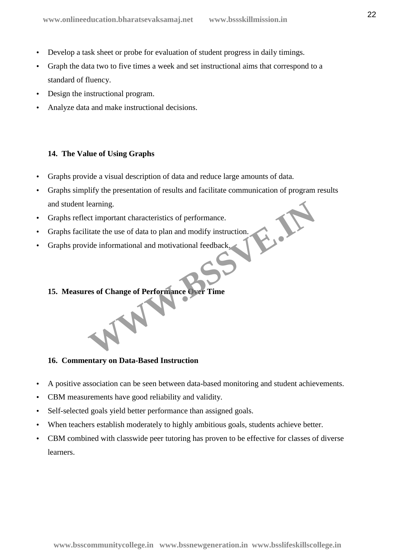- Develop a task sheet or probe for evaluation of student progress in daily timings.
- Graph the data two to five times a week and set instructional aims that correspond to a standard of fluency.
- Design the instructional program.
- Analyze data and make instructional decisions.

### **14. The Value of Using Graphs**

- Graphs provide a visual description of data and reduce large amounts of data.
- Graphs simplify the presentation of results and facilitate communication of program results and student learning. Exemples<br>
Litate the use of data to plan and modify instruction<br>
ide informational and motivational feedback.<br>
We see the USS of Change of Performance Over Time<br>
See the USS of Change of Performance Over Time<br>
See the USS
- Graphs reflect important characteristics of performance.
- Graphs facilitate the use of data to plan and modify instruction.
- Graphs provide informational and motivational feedback.

### **15. Measures of Change of Performance Over Time**

### **16. Commentary on Data-Based Instruction**

- A positive association can be seen between data-based monitoring and student achievements.
- CBM measurements have good reliability and validity.
- Self-selected goals yield better performance than assigned goals.
- When teachers establish moderately to highly ambitious goals, students achieve better.
- CBM combined with classwide peer tutoring has proven to be effective for classes of diverse learners.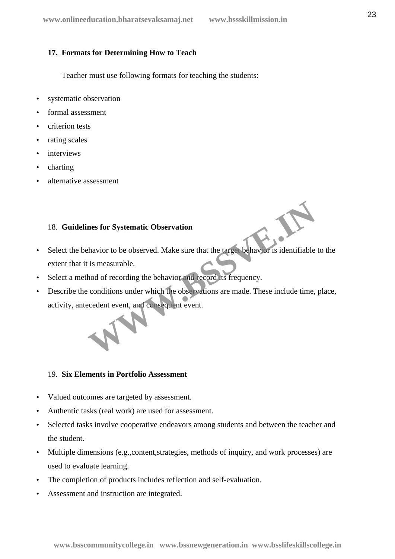### **17. Formats for Determining How to Teach**

Teacher must use following formats for teaching the students:

- systematic observation
- formal assessment
- criterion tests
- rating scales
- interviews
- charting
- alternative assessment

### 18. **Guidelines for Systematic Observation**

- Select the behavior to be observed. Make sure that the target behavior is identifiable to the extent that it is measurable. **INTERNATION CONSERVANCE CONSERVANCE CONSERVANCE IS MEASURED AND A SURVEY OF STATISTICAL IS MEAN UP TO A SURVEY AND A SURVEY OF STATISTICAL CONSEQUENT EVENTS.<br>
RECORD AND THE UP OF STATISTICAL CONSEQUENT EVENTS.<br>
RECORD TH**
- Select a method of recording the behavior and record its frequency.
- Describe the conditions under which the observations are made. These include time, place, activity, antecedent event, and consequent event.

### 19. **Six Elements in Portfolio Assessment**

- Valued outcomes are targeted by assessment.
- Authentic tasks (real work) are used for assessment.
- Selected tasks involve cooperative endeavors among students and between the teacher and the student.
- Multiple dimensions (e.g., content, strategies, methods of inquiry, and work processes) are used to evaluate learning.
- The completion of products includes reflection and self-evaluation.
- Assessment and instruction are integrated.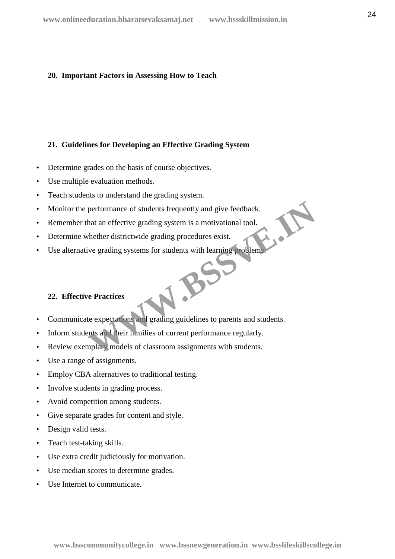### **20. Important Factors in Assessing How to Teach**

### **21. Guidelines for Developing an Effective Grading System**

- Determine grades on the basis of course objectives.
- Use multiple evaluation methods.
- Teach students to understand the grading system.
- Monitor the performance of students frequently and give feedback.
- Remember that an effective grading system is a motivational tool.
- Determine whether districtwide grading procedures exist.
- Use alternative grading systems for students with learning problems. **WWW.BSSVE.IN**

### **22. Effective Practices**

- Communicate expectations and grading guidelines to parents and students.
- Inform students and their families of current performance regularly.
- Review exemplary models of classroom assignments with students.
- Use a range of assignments.
- Employ CBA alternatives to traditional testing.
- Involve students in grading process.
- Avoid competition among students.
- Give separate grades for content and style.
- Design valid tests.
- Teach test-taking skills.
- Use extra credit judiciously for motivation.
- Use median scores to determine grades.
- Use Internet to communicate.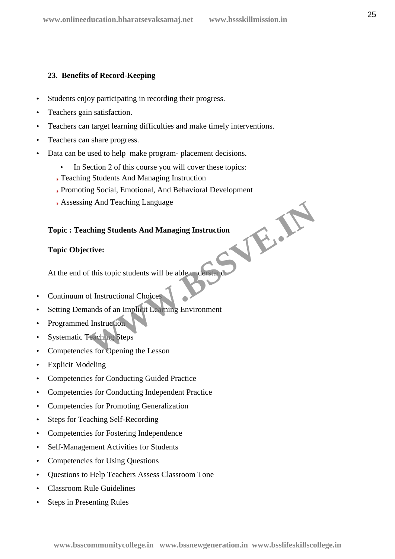### **23. Benefits of Record-Keeping**

- Students enjoy participating in recording their progress.
- Teachers gain satisfaction.
- Teachers can target learning difficulties and make timely interventions.
- Teachers can share progress.
- Data can be used to help make program- placement decisions.
	- In Section 2 of this course you will cover these topics:
	- Teaching Students And Managing Instruction
	- Promoting Social, Emotional, And Behavioral Development

W.B.W

Assessing And Teaching Language

### **Topic : Teaching Students And Managing Instruction**

### **Topic Objective:**

At the end of this topic students will be able understand:

- Continuum of Instructional Choice
- Setting Demands of an Implicit Learning Environment
- Programmed Instruction
- Systematic Teaching Steps
- Competencies for Opening the Lesson
- Explicit Modeling
- Competencies for Conducting Guided Practice
- Competencies for Conducting Independent Practice
- Competencies for Promoting Generalization
- Steps for Teaching Self-Recording
- Competencies for Fostering Independence
- Self-Management Activities for Students
- Competencies for Using Questions
- Questions to Help Teachers Assess Classroom Tone
- Classroom Rule Guidelines
- Steps in Presenting Rules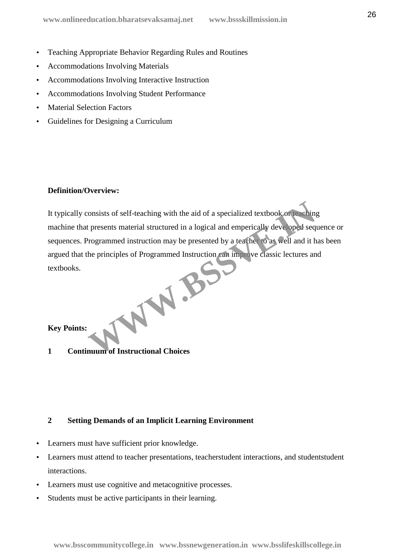- Teaching Appropriate Behavior Regarding Rules and Routines
- Accommodations Involving Materials
- Accommodations Involving Interactive Instruction
- Accommodations Involving Student Performance
- Material Selection Factors
- Guidelines for Designing a Curriculum

### **Definition/Overview:**

It typically consists of self-teaching with the aid of a specialized textbook or teaching machine that presents material structured in a logical and emperically developed sequence or sequences. Programmed instruction may be presented by a teacher to as well and it has been argued that the principles of Programmed Instruction can improve classic lectures and textbooks. W.BSC

### **Key Points:**

**1 Continuum of Instructional Choices**

### **2 Setting Demands of an Implicit Learning Environment**

- Learners must have sufficient prior knowledge.
- Learners must attend to teacher presentations, teacherstudent interactions, and studentstudent interactions.
- Learners must use cognitive and metacognitive processes.
- Students must be active participants in their learning.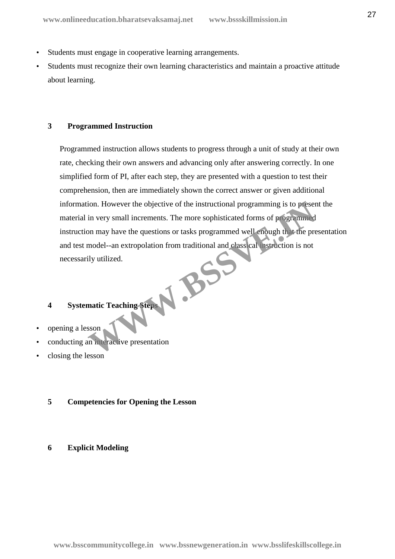- Students must engage in cooperative learning arrangements.
- Students must recognize their own learning characteristics and maintain a proactive attitude about learning.

### **3 Programmed Instruction**

Programmed instruction allows students to progress through a unit of study at their own rate, checking their own answers and advancing only after answering correctly. In one simplified form of PI, after each step, they are presented with a question to test their comprehension, then are immediately shown the correct answer or given additional information. However the objective of the instructional programming is to present the material in very small increments. The more sophisticated forms of programmed instruction may have the questions or tasks programmed well enough that the presentation and test model--an extropolation from traditional and classical instruction is not necessarily utilized. **WWW.BSSVE.IN**

### **4 Systematic Teaching Steps**

- opening a lesson
- conducting an interactive presentation
- closing the lesson
	- **5 Competencies for Opening the Lesson**

### **6 Explicit Modeling**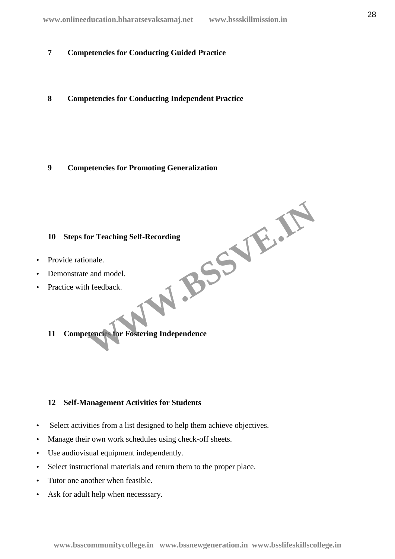### **7 Competencies for Conducting Guided Practice**

### **8 Competencies for Conducting Independent Practice**

### **9 Competencies for Promoting Generalization**

## **10 Steps for Teaching Self-Recording WWW.BSSVE.IN**

- Provide rationale.
- Demonstrate and model.
- Practice with feedback.

### **11 Competencies for Fostering Independence**

### **12 Self-Management Activities for Students**

- Select activities from a list designed to help them achieve objectives.
- Manage their own work schedules using check-off sheets.
- Use audiovisual equipment independently.
- Select instructional materials and return them to the proper place.
- Tutor one another when feasible.
- Ask for adult help when necesssary.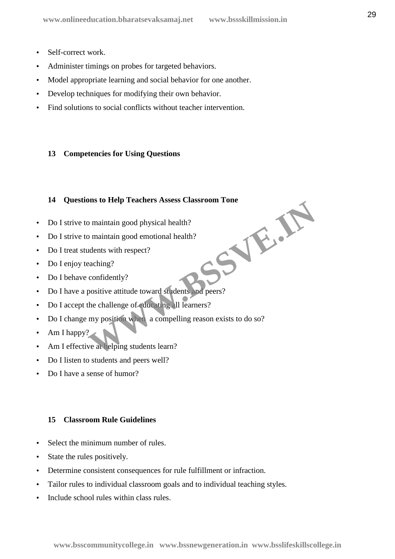- Self-correct work.
- Administer timings on probes for targeted behaviors.
- Model appropriate learning and social behavior for one another.
- Develop techniques for modifying their own behavior.
- Find solutions to social conflicts without teacher intervention.

### **13 Competencies for Using Questions**

### **14 Questions to Help Teachers Assess Classroom Tone** WWW.BS

- Do I strive to maintain good physical health?
- Do I strive to maintain good emotional health?
- Do I treat students with respect?
- Do I enjoy teaching?
- Do I behave confidently?
- Do I have a positive attitude toward students and peers?
- Do I accept the challenge of educating all learners?
- Do I change my position when a compelling reason exists to do so?
- $\bullet$  Am I happy?
- Am I effective at helping students learn?
- Do I listen to students and peers well?
- Do I have a sense of humor?

### **15 Classroom Rule Guidelines**

- Select the minimum number of rules.
- State the rules positively.
- Determine consistent consequences for rule fulfillment or infraction.
- Tailor rules to individual classroom goals and to individual teaching styles.
- Include school rules within class rules.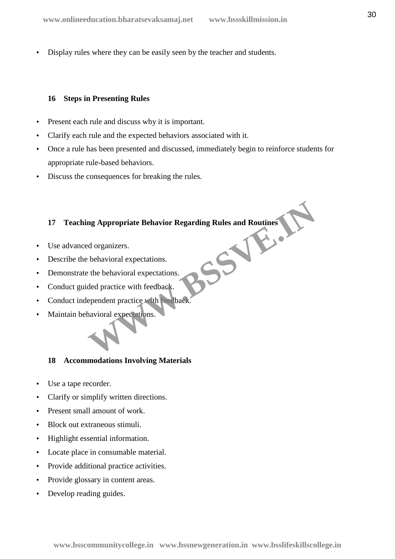Display rules where they can be easily seen by the teacher and students.

### **16 Steps in Presenting Rules**

- Present each rule and discuss why it is important.
- Clarify each rule and the expected behaviors associated with it.
- Once a rule has been presented and discussed, immediately begin to reinforce students for appropriate rule-based behaviors.
- Discuss the consequences for breaking the rules.

# **17 Teaching Appropriate Behavior Regarding Rules and Routines** mg Appropriate Behavior Regarding Rules and Routines<br>d organizers.<br>behavioral expectations.<br>the behavioral expectations.<br>ded practice with feedback.<br>havioral expectations.<br>havioral expectations.

- Use advanced organizers.
- Describe the behavioral expectations.
- Demonstrate the behavioral expectations.
- Conduct guided practice with feedback.
- Conduct independent practice with feedback.
- Maintain behavioral expectations.

### **18 Accommodations Involving Materials**

- Use a tape recorder.
- Clarify or simplify written directions.
- Present small amount of work.
- Block out extraneous stimuli.
- Highlight essential information.
- Locate place in consumable material.
- Provide additional practice activities.
- Provide glossary in content areas.
- Develop reading guides.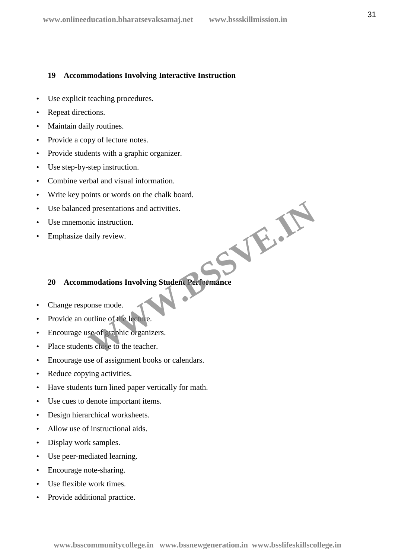### **19 Accommodations Involving Interactive Instruction**

- Use explicit teaching procedures.
- Repeat directions.
- Maintain daily routines.
- Provide a copy of lecture notes.
- Provide students with a graphic organizer.
- Use step-by-step instruction.
- Combine verbal and visual information.
- Write key points or words on the chalk board.
- Use balanced presentations and activities.
- Use mnemonic instruction.
- Emphasize daily review.

### **20 Accommodations Involving Student Performance**

- Change response mode.
- Provide an outline of the lecture.
- Encourage use of graphic organizers.
- Place students close to the teacher.
- Encourage use of assignment books or calendars.
- Reduce copying activities.
- Have students turn lined paper vertically for math.
- Use cues to denote important items.
- Design hierarchical worksheets.
- Allow use of instructional aids.
- Display work samples.
- Use peer-mediated learning.
- Encourage note-sharing.
- Use flexible work times.
- Provide additional practice.

W.B.W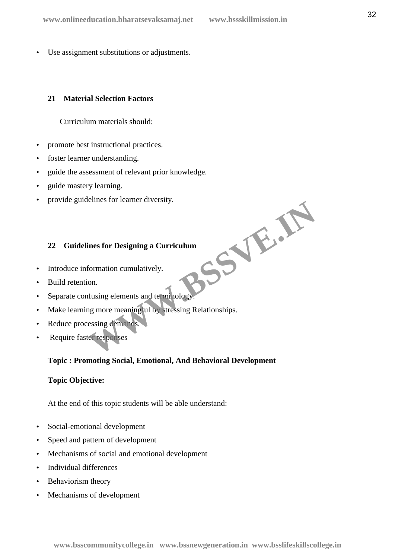**WWW.BSSVE.IN**

Use assignment substitutions or adjustments.

### **21 Material Selection Factors**

### Curriculum materials should:

- promote best instructional practices.
- foster learner understanding.
- guide the assessment of relevant prior knowledge.
- guide mastery learning.
- provide guidelines for learner diversity.

### **22 Guidelines for Designing a Curriculum**

- Introduce information cumulatively.
- Build retention.
- Separate confusing elements and terminology.
- Make learning more meaningful by stressing Relationships.
- Reduce processing demands.
- Require faster responses

### **Topic : Promoting Social, Emotional, And Behavioral Development**

### **Topic Objective:**

At the end of this topic students will be able understand:

- Social-emotional development
- Speed and pattern of development
- Mechanisms of social and emotional development
- Individual differences
- Behaviorism theory
- Mechanisms of development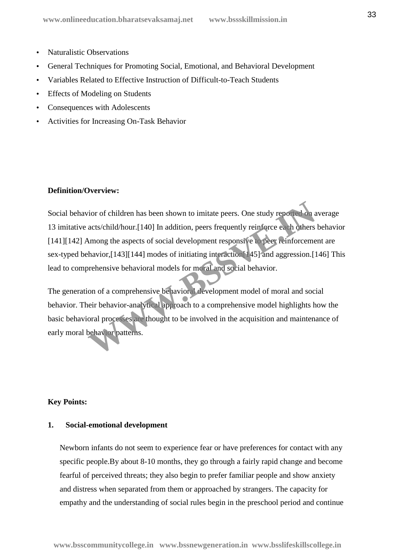- Naturalistic Observations
- General Techniques for Promoting Social, Emotional, and Behavioral Development
- Variables Related to Effective Instruction of Difficult-to-Teach Students
- Effects of Modeling on Students
- Consequences with Adolescents
- Activities for Increasing On-Task Behavior

### **Definition/Overview:**

Social behavior of children has been shown to imitate peers. One study reported on average 13 imitative acts/child/hour.[140] In addition, peers frequently reinforce each others behavior [141][142] Among the aspects of social development responsive to peer reinforcement are sex-typed behavior,[143][144] modes of initiating interaction[145] and aggression.[146] This lead to comprehensive behavioral models for moral and social behavior. From the distribution of children has been shown to imitate peers. One study reported on a<br>acts/child/hour.[140] In addition, peers frequently reinforce each others<br>Among the aspects of social development responsive to pee

The generation of a comprehensive behavioral development model of moral and social behavior. Their behavior-analytical approach to a comprehensive model highlights how the basic behavioral processes are thought to be involved in the acquisition and maintenance of early moral behavior patterns.

### **Key Points:**

### **1. Social-emotional development**

Newborn infants do not seem to experience fear or have preferences for contact with any specific people.By about 8-10 months, they go through a fairly rapid change and become fearful of perceived threats; they also begin to prefer familiar people and show anxiety and distress when separated from them or approached by strangers. The capacity for empathy and the understanding of social rules begin in the preschool period and continue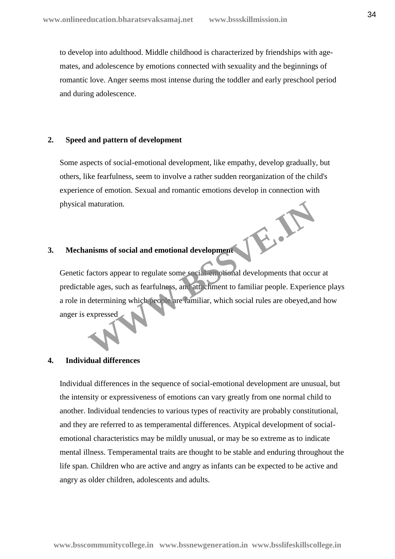to develop into adulthood. Middle childhood is characterized by friendships with age mates, and adolescence by emotions connected with sexuality and the beginnings of romantic love. Anger seems most intense during the toddler and early preschool period and during adolescence.

### **2. Speed and pattern of development**

Some aspects of social-emotional development, like empathy, develop gradually, but others, like fearfulness, seem to involve a rather sudden reorganization of the child's experience of emotion. Sexual and romantic emotions develop in connection with physical maturation.

### **3. Mechanisms of social and emotional development**

Genetic factors appear to regulate some social-emotional developments that occur at predictable ages, such as fearfulness, and attachment to familiar people. Experience plays a role in determining which people are familiar, which social rules are obeyed,and how anger is expressed maturation.<br>
misms of social and emotional development<br>
factors appear to regulate some social emotional developments that occu<br>
ble ages, such as fearfulness, and attributed to familiar people. Experier<br>
determining which

### **4. Individual differences**

Individual differences in the sequence of social-emotional development are unusual, but the intensity or expressiveness of emotions can vary greatly from one normal child to another. Individual tendencies to various types of reactivity are probably constitutional, and they are referred to as temperamental differences. Atypical development of social emotional characteristics may be mildly unusual, or may be so extreme as to indicate mental illness. Temperamental traits are thought to be stable and enduring throughout the life span. Children who are active and angry as infants can be expected to be active and angry as older children, adolescents and adults.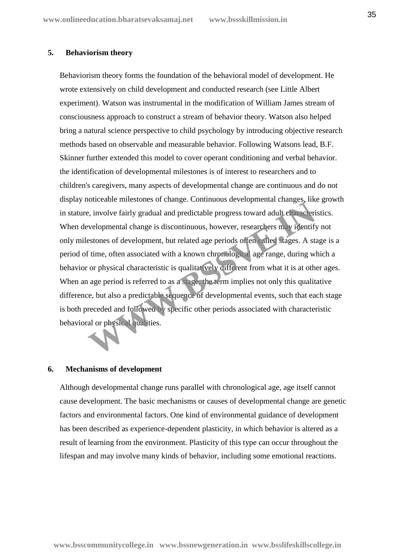### **5. Behaviorism theory**

Behaviorism theory forms the foundation of the behavioral model of development. He wrote extensively on child development and conducted research (see Little Albert experiment). Watson was instrumental in the modification of William James stream of consciousness approach to construct a stream of behavior theory. Watson also helped bring a natural science perspective to child psychology by introducing objective research methods based on observable and measurable behavior. Following Watsons lead, B.F. Skinner further extended this model to cover operant conditioning and verbal behavior. the identification of developmental milestones is of interest to researchers and to children's caregivers, many aspects of developmental change are continuous and do not display noticeable milestones of change. Continuous developmental changes, like growth in stature, involve fairly gradual and predictable progress toward adult characteristics. When developmental change is discontinuous, however, researchers may identify not only milestones of development, but related age periods often called stages. A stage is a period of time, often associated with a known chronological age range, during which a behavior or physical characteristic is qualitatively different from what it is at other ages. When an age period is referred to as a stage, the term implies not only this qualitative difference, but also a predictable sequence of developmental events, such that each stage is both preceded and followed by specific other periods associated with characteristic behavioral or physical qualities. **Example 18 and Solution** and predictable progress toward adult characterized experimental change is discontinuous, however, researchers mey identify extones of development, but related age periods of encalled stages. A st

### **6. Mechanisms of development**

Although developmental change runs parallel with chronological age, age itself cannot cause development. The basic mechanisms or causes of developmental change are genetic factors and environmental factors. One kind of environmental guidance of development has been described as experience-dependent plasticity, in which behavior is altered as a result of learning from the environment. Plasticity of this type can occur throughout the lifespan and may involve many kinds of behavior, including some emotional reactions.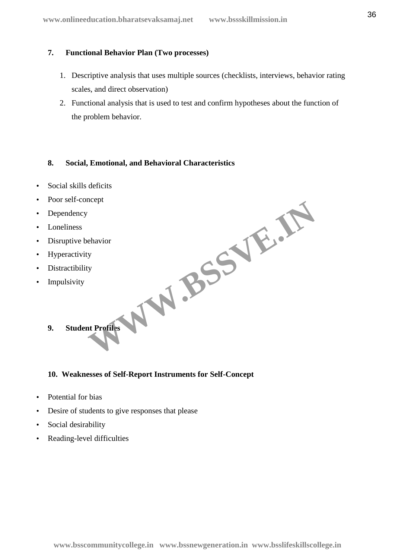### **7. Functional Behavior Plan (Two processes)**

- 1. Descriptive analysis that uses multiple sources (checklists, interviews, behavior rating scales, and direct observation)
- 2. Functional analysis that is used to test and confirm hypotheses about the function of the problem behavior.

### **8. Social, Emotional, and Behavioral Characteristics**

- Social skills deficits
- Poor self-concept
- Dependency
- Loneliness
- Disruptive behavior
- Hyperactivity
- Distractibility
- Impulsivity
- **9. Student Profiles** WW.BSS<sup>VE.IN</sup>

### **10. Weaknesses of Self-Report Instruments for Self-Concept**

- Potential for bias
- Desire of students to give responses that please
- Social desirability
- Reading-level difficulties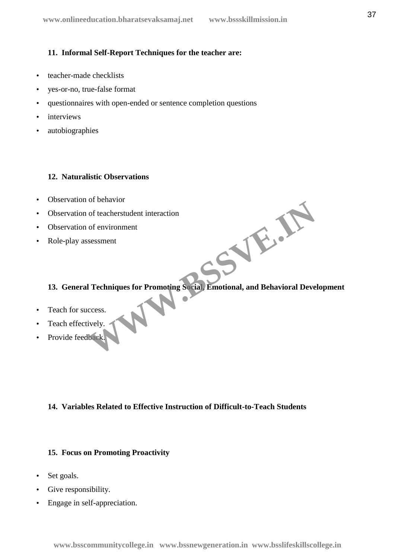### **11. Informal Self-Report Techniques for the teacher are:**

- teacher-made checklists
- yes-or-no, true-false format
- questionnaires with open-ended or sentence completion questions
- interviews
- autobiographies

### **12. Naturalistic Observations**

- Observation of behavior
- Observation of teacherstudent interaction
- Observation of environment
- Role-play assessment

### **13. General Techniques for Promoting Social, Emotional, and Behavioral Development WARDER AND Social, Emotional, and Behavioral Dev**

- Teach for success.
- Teach effectively.
- Provide feedback.

### **14. Variables Related to Effective Instruction of Difficult-to-Teach Students**

### **15. Focus on Promoting Proactivity**

- Set goals.
- Give responsibility.
- Engage in self-appreciation.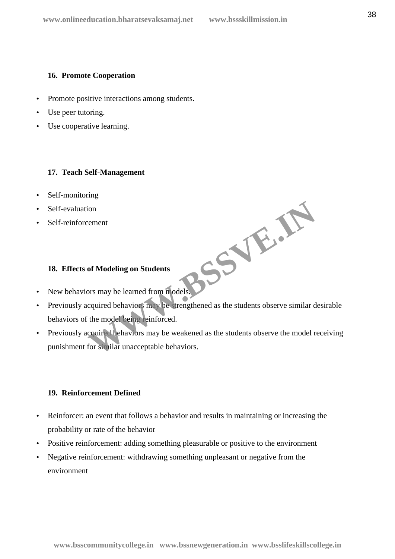### **16. Promote Cooperation**

- Promote positive interactions among students.
- Use peer tutoring.
- Use cooperative learning.

### **17. Teach Self-Management**

- Self-monitoring
- Self-evaluation
- Self-reinforcement

### **18. Effects of Modeling on Students**

- New behaviors may be learned from models. **355 F.A.M.**
- Previously acquired behaviors may be strengthened as the students observe similar desirable behaviors of the model being reinforced.
- Previously acquired behaviors may be weakened as the students observe the model receiving punishment for similar unacceptable behaviors.

### **19. Reinforcement Defined**

- Reinforcer: an event that follows a behavior and results in maintaining or increasing the probability or rate of the behavior
- Positive reinforcement: adding something pleasurable or positive to the environment
- Negative reinforcement: withdrawing something unpleasant or negative from the environment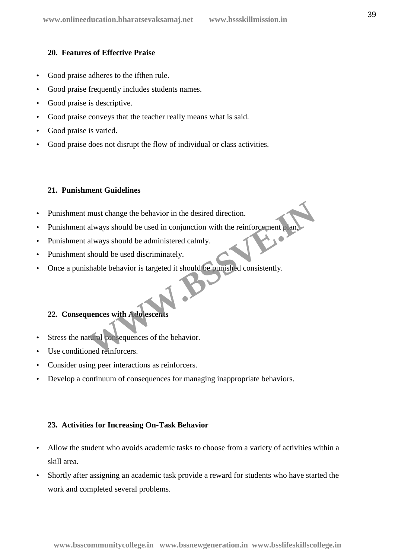### **20. Features of Effective Praise**

- Good praise adheres to the ifthen rule.
- Good praise frequently includes students names.
- Good praise is descriptive.
- Good praise conveys that the teacher really means what is said.
- Good praise is varied.
- Good praise does not disrupt the flow of individual or class activities.

### **21. Punishment Guidelines**

- Punishment must change the behavior in the desired direction.
- Punishment always should be used in conjunction with the reinforcement plan. must change the behavior in the desired direction.<br>always should be used in conjunction with the reinforcement plan<br>always should be administered calmly.<br>should be used discriminately.<br>shable behavior is targeted it should
- Punishment always should be administered calmly.
- Punishment should be used discriminately.
- Once a punishable behavior is targeted it should be punished consistently.

### **22. Consequences with Adolescents**

- Stress the natural consequences of the behavior.
- Use conditioned reinforcers.
- Consider using peer interactions as reinforcers.
- Develop a continuum of consequences for managing inappropriate behaviors.

### **23. Activities for Increasing On-Task Behavior**

- Allow the student who avoids academic tasks to choose from a variety of activities within a skill area.
- Shortly after assigning an academic task provide a reward for students who have started the work and completed several problems.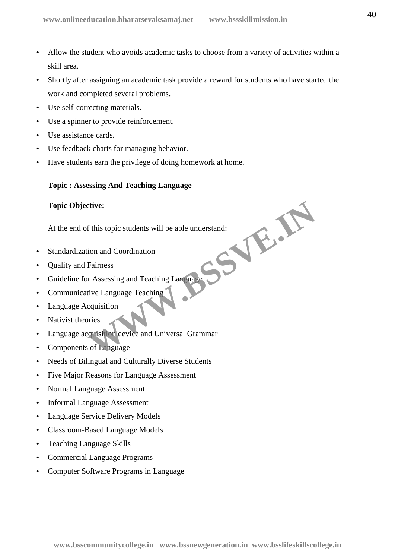- Allow the student who avoids academic tasks to choose from a variety of activities within a skill area.
- Shortly after assigning an academic task provide a reward for students who have started the work and completed several problems.
- Use self-correcting materials.
- Use a spinner to provide reinforcement.
- Use assistance cards.
- Use feedback charts for managing behavior.
- Have students earn the privilege of doing homework at home.

### **Topic : Assessing And Teaching Language**

### **Topic Objective:**

At the end of this topic students will be able understand: W.B.W

- Standardization and Coordination
- Quality and Fairness
- Guideline for Assessing and Teaching Language
- Communicative Language Teaching
- Language Acquisition
- Nativist theories
- Language acquisition device and Universal Grammar
- Components of Language
- Needs of Bilingual and Culturally Diverse Students
- Five Major Reasons for Language Assessment
- Normal Language Assessment
- Informal Language Assessment
- Language Service Delivery Models
- Classroom-Based Language Models
- Teaching Language Skills
- Commercial Language Programs
- Computer Software Programs in Language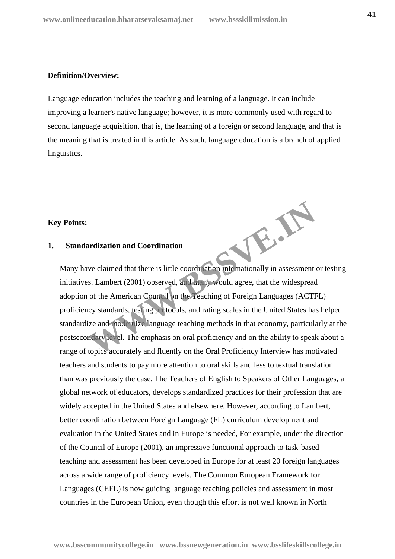### **Definition/Overview:**

Language education includes the teaching and learning of a language. It can include improving a learner's native language; however, it is more commonly used with regard to second language acquisition, that is, the learning of a foreign or second language, and that is the meaning that is treated in this article. As such, language education is a branch of applied linguistics.

### **Key Points:**

### **1. Standardization and Coordination**

Many have claimed that there is little coordination internationally in assessment or testing initiatives. Lambert (2001) observed, and many would agree, that the widespread adoption of the American Council on the Teaching of Foreign Languages (ACTFL) proficiency standards, testing protocols, and rating scales in the United States has helped standardize and modernize language teaching methods in that economy, particularly at the postsecondary level. The emphasis on oral proficiency and on the ability to speak about a range of topics accurately and fluently on the Oral Proficiency Interview has motivated teachers and students to pay more attention to oral skills and less to textual translation than was previously the case. The Teachers of English to Speakers of Other Languages, a global network of educators, develops standardized practices for their profession that are widely accepted in the United States and elsewhere. However, according to Lambert, better coordination between Foreign Language (FL) curriculum development and evaluation in the United States and in Europe is needed, For example, under the direction of the Council of Europe (2001), an impressive functional approach to task-based teaching and assessment has been developed in Europe for at least 20 foreign languages across a wide range of proficiency levels. The Common European Framework for Languages (CEFL) is now guiding language teaching policies and assessment in most countries in the European Union, even though this effort is not well known in North WE.AS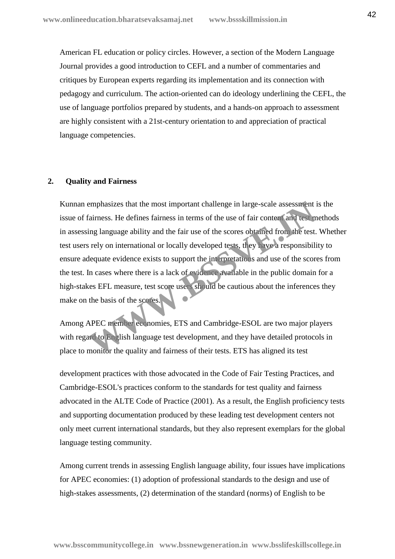American FL education or policy circles. However, a section of the Modern Language Journal provides a good introduction to CEFL and a number of commentaries and critiques by European experts regarding its implementation and its connection with pedagogy and curriculum. The action-oriented can do ideology underlining the CEFL, the use of language portfolios prepared by students, and a hands-on approach to assessment are highly consistent with a 21st-century orientation to and appreciation of practical language competencies.

### **2. Quality and Fairness**

Kunnan emphasizes that the most important challenge in large-scale assessment is the issue of fairness. He defines fairness in terms of the use of fair content and test methods in assessing language ability and the fair use of the scores obtained from the test. Whether test users rely on international or locally developed tests, they have a responsibility to ensure adequate evidence exists to support the interpretations and use of the scores from the test. In cases where there is a lack of evidence available in the public domain for a high-stakes EFL measure, test score users should be cautious about the inferences they make on the basis of the scores. emphasizes that the most important challenge in large-scale assessment fairness. He defines fairness in terms of the use of fair content and test m<br>ing language ability and the fair use of the scores obtaned from the test.

Among APEC member economies, ETS and Cambridge-ESOL are two major players with regard to English language test development, and they have detailed protocols in place to monitor the quality and fairness of their tests. ETS has aligned its test

development practices with those advocated in the Code of Fair Testing Practices, and Cambridge-ESOL's practices conform to the standards for test quality and fairness advocated in the ALTE Code of Practice (2001). As a result, the English proficiency tests and supporting documentation produced by these leading test development centers not only meet current international standards, but they also represent exemplars for the global language testing community.

Among current trends in assessing English language ability, four issues have implications for APEC economies: (1) adoption of professional standards to the design and use of high-stakes assessments, (2) determination of the standard (norms) of English to be

**www.bsscommunitycollege.in www.bssnewgeneration.in www.bsslifeskillscollege.in**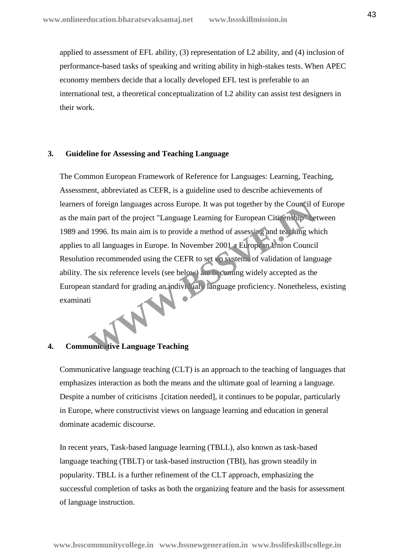applied to assessment of EFL ability, (3) representation of L2 ability, and (4) inclusion of performance-based tasks of speaking and writing ability in high-stakes tests. When APEC economy members decide that a locally developed EFL test is preferable to an international test, a theoretical conceptualization of L2 ability can assist test designers in their work.

### **3. Guideline for Assessing and Teaching Language**

The Common European Framework of Reference for Languages: Learning, Teaching, Assessment, abbreviated as CEFR, is a guideline used to describe achievements of learners of foreign languages across Europe. It was put together by the Council of Europe as the main part of the project "Language Learning for European Citizenship" between 1989 and 1996. Its main aim is to provide a method of assessing and teaching which applies to all languages in Europe. In November 2001 a European Union Council Resolution recommended using the CEFR to set up systems of validation of language ability. The six reference levels (see below) are becoming widely accepted as the European standard for grading an individual's language proficiency. Nonetheless, existing examinati of foreign languages across Europe. It was put together by the Council of ain part of the project "Language Learning for European Citizenship" be 1996. Its main aim is to provide a method of assessing and teaching who all

### **4. Communicative Language Teaching**

Communicative language teaching (CLT) is an approach to the teaching of languages that emphasizes interaction as both the means and the ultimate goal of learning a language. Despite a number of criticisms .[citation needed], it continues to be popular, particularly in Europe, where constructivist views on language learning and education in general dominate academic discourse.

In recent years, Task-based language learning (TBLL), also known as task-based language teaching (TBLT) or task-based instruction (TBI), has grown steadily in popularity. TBLL is a further refinement of the CLT approach, emphasizing the successful completion of tasks as both the organizing feature and the basis for assessment of language instruction.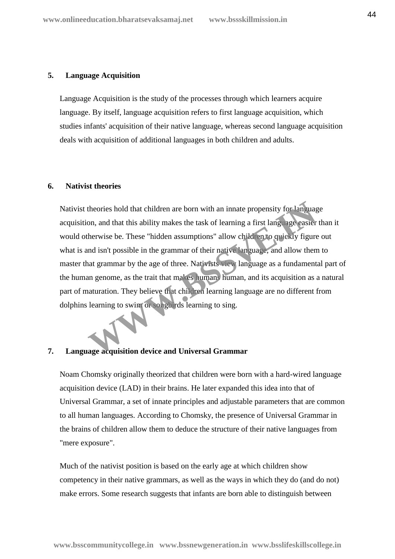### **5. Language Acquisition**

Language Acquisition is the study of the processes through which learners acquire language. By itself, language acquisition refers to first language acquisition, which studies infants' acquisition of their native language, whereas second language acquisition deals with acquisition of additional languages in both children and adults.

### **6. Nativist theories**

Nativist theories hold that children are born with an innate propensity for language acquisition, and that this ability makes the task of learning a first language easier than it would otherwise be. These "hidden assumptions" allow children to quickly figure out what is and isn't possible in the grammar of their native language, and allow them to master that grammar by the age of three. Nativists view language as a fundamental part of the human genome, as the trait that makes humans human, and its acquisition as a natural part of maturation. They believe that children learning language are no different from dolphins learning to swim or songbirds learning to sing. theories hold that children are born with an innate propensity for language, on, and that this ability makes the task of learning a first language easier therwise be. These "hidden assumptions" allow child on to quickly fi

### **7. Language acquisition device and Universal Grammar**

Noam Chomsky originally theorized that children were born with a hard-wired language acquisition device (LAD) in their brains. He later expanded this idea into that of Universal Grammar, a set of innate principles and adjustable parameters that are common to all human languages. According to Chomsky, the presence of Universal Grammar in the brains of children allow them to deduce the structure of their native languages from "mere exposure".

Much of the nativist position is based on the early age at which children show competency in their native grammars, as well as the ways in which they do (and do not) make errors. Some research suggests that infants are born able to distinguish between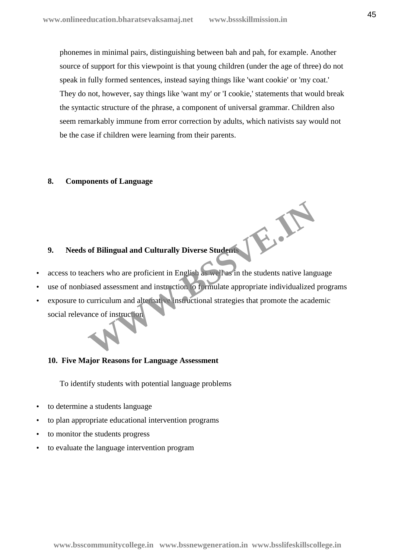phonemes in minimal pairs, distinguishing between bah and pah, for example. Another source of support for this viewpoint is that young children (under the age of three) do not speak in fully formed sentences, instead saying things like 'want cookie' or 'my coat.' They do not, however, say things like 'want my' or 'I cookie,' statements that would break the syntactic structure of the phrase, a component of universal grammar. Children also seem remarkably immune from error correction by adults, which nativists say would not be the case if children were learning from their parents.

### **8. Components of Language**

### **9. Needs of Bilingual and Culturally Diverse Students**

- access to teachers who are proficient in English as well as in the students native language
- use of nonbiased assessment and instruction to formulate appropriate individualized programs
- exposure to curriculum and alternative instructional strategies that promote the academic social relevance of instruction of Bilingual and Culturally Diverse Students<br>
chers who are proficient in English as well as in the students native lang<br>
ased assessment and instruction to I mulate appropriate individualized<br>
curriculum and alternative i

### **10. Five Major Reasons for Language Assessment**

To identify students with potential language problems

- to determine a students language
- to plan appropriate educational intervention programs
- to monitor the students progress
- to evaluate the language intervention program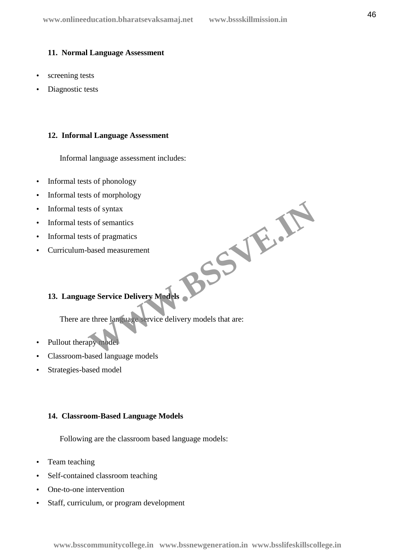### **11. Normal Language Assessment**

- screening tests
- Diagnostic tests

### **12. Informal Language Assessment**

Informal language assessment includes:

- Informal tests of phonology
- Informal tests of morphology
- Informal tests of syntax
- Informal tests of semantics
- Informal tests of pragmatics
- Curriculum-based measurement

### **13. Language Service Delivery Models WWW.BSSVE.IN**

There are three language service delivery models that are:

- Pullout therapy model
- Classroom-based language models
- Strategies-based model

### **14. Classroom-Based Language Models**

Following are the classroom based language models:

- Team teaching
- Self-contained classroom teaching
- One-to-one intervention
- Staff, curriculum, or program development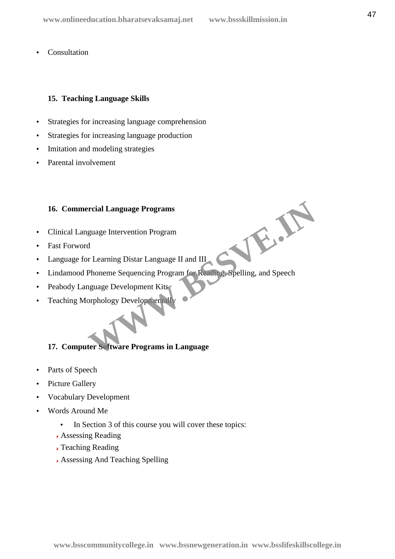Consultation

### **15. Teaching Language Skills**

- Strategies for increasing language comprehension
- Strategies for increasing language production
- Imitation and modeling strategies
- Parental involvement

### **16. Commercial Language Programs**

- Clinical Language Intervention Program
- Fast Forword
- Language for Learning Distar Language II and III
- Lindamood Phoneme Sequencing Program for Reading, Spelling, and Speech W.B.W
- Peabody Language Development Kits
- Teaching Morphology Developmentally

### **17. Computer Software Programs in Language**

- Parts of Speech
- Picture Gallery
- Vocabulary Development
- Words Around Me
	- In Section 3 of this course you will cover these topics:
	- Assessing Reading
	- Teaching Reading
	- Assessing And Teaching Spelling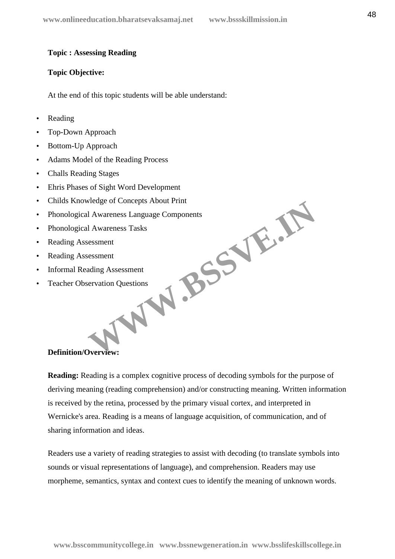### **Topic : Assessing Reading**

### **Topic Objective:**

At the end of this topic students will be able understand:

- Reading
- Top-Down Approach
- Bottom-Up Approach
- Adams Model of the Reading Process
- Challs Reading Stages
- Ehris Phases of Sight Word Development
- Childs Knowledge of Concepts About Print
- Phonological Awareness Language Components WW.BSSVE.IN
- Phonological Awareness Tasks
- Reading Assessment
- Reading Assessment
- Informal Reading Assessment
- Teacher Observation Questions

### **Definition/Overview:**

**Reading:** Reading is a complex cognitive process of decoding symbols for the purpose of deriving meaning (reading comprehension) and/or constructing meaning. Written information is received by the retina, processed by the primary visual cortex, and interpreted in Wernicke's area. Reading is a means of language acquisition, of communication, and of sharing information and ideas.

Readers use a variety of reading strategies to assist with decoding (to translate symbols into sounds or visual representations of language), and comprehension. Readers may use morpheme, semantics, syntax and context cues to identify the meaning of unknown words.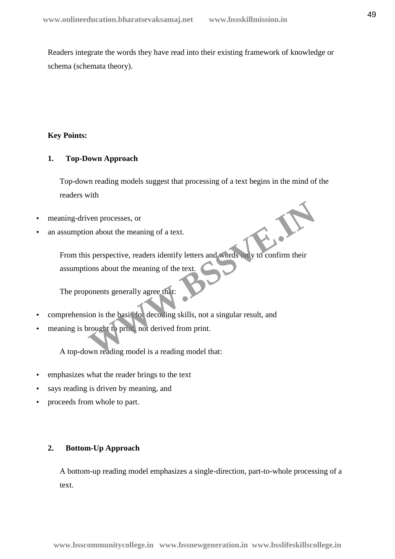Readers integrate the words they have read into their existing framework of knowledge or schema (schemata theory).

### **Key Points:**

### **1. Top-Down Approach**

Top-down reading models suggest that processing of a text begins in the mind of the readers with

- meaning-driven processes, or
- an assumption about the meaning of a text.

From this perspective, readers identify letters and words only to confirm their assumptions about the meaning of the text. Wen processes, or<br>
sperspective, readers identify letters and words only to confirm their<br>
sperspective, readers identify letters and words only to confirm their<br>
ions about the meaning of the text.<br>
sponents generally agr

The proponents generally agree that:

- comprehension is the basis for decoding skills, not a singular result, and
- meaning is brought to print, not derived from print.

A top-down reading model is a reading model that:

- emphasizes what the reader brings to the text
- says reading is driven by meaning, and
- proceeds from whole to part.

### **2. Bottom-Up Approach**

A bottom-up reading model emphasizes a single-direction, part-to-whole processing of a text.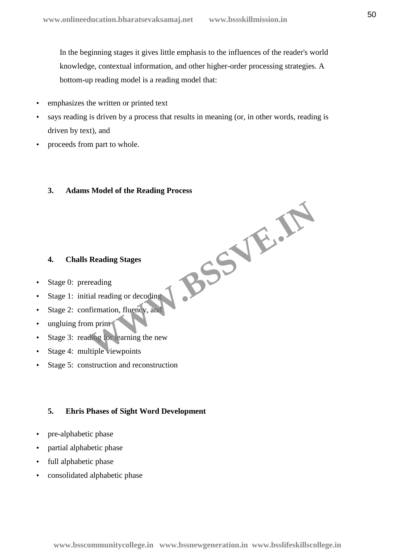In the beginning stages it gives little emphasis to the influences of the reader's world knowledge, contextual information, and other higher-order processing strategies. A bottom-up reading model is a reading model that:

- emphasizes the written or printed text
- says reading is driven by a process that results in meaning (or, in other words, reading is driven by text), and
- proceeds from part to whole.

# **3. Adams Model of the Reading Process WWW.BSSVE.IN**

### **4. Challs Reading Stages**

- Stage 0: prereading
- Stage 1: initial reading or decoding
- Stage 2: confirmation, fluency, and
- ungluing from print
- Stage 3: reading for learning the new
- Stage 4: multiple viewpoints
- Stage 5: construction and reconstruction

### **5. Ehris Phases of Sight Word Development**

- pre-alphabetic phase
- partial alphabetic phase
- full alphabetic phase
- consolidated alphabetic phase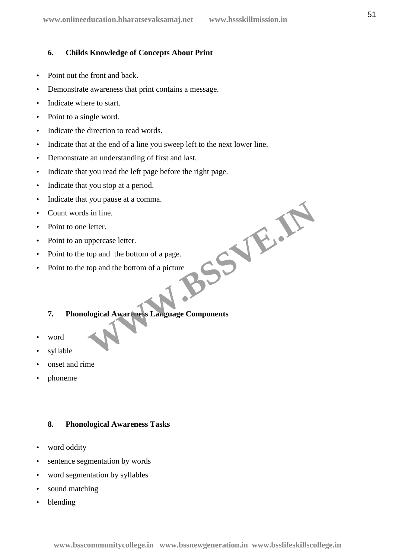### **6. Childs Knowledge of Concepts About Print**

- Point out the front and back.
- Demonstrate awareness that print contains a message.
- Indicate where to start.
- Point to a single word.
- Indicate the direction to read words.
- Indicate that at the end of a line you sweep left to the next lower line.
- Demonstrate an understanding of first and last.
- Indicate that you read the left page before the right page.
- Indicate that you stop at a period.
- Indicate that you pause at a comma.
- Count words in line.
- Point to one letter.
- Point to an uppercase letter.
- Point to the top and the bottom of a page.
- Point to the top and the bottom of a picture **WARE**

### **7. Phonological Awareness Language Components**

- word
- syllable
- onset and rime
- phoneme

### **8. Phonological Awareness Tasks**

- word oddity
- sentence segmentation by words
- word segmentation by syllables
- sound matching
- blending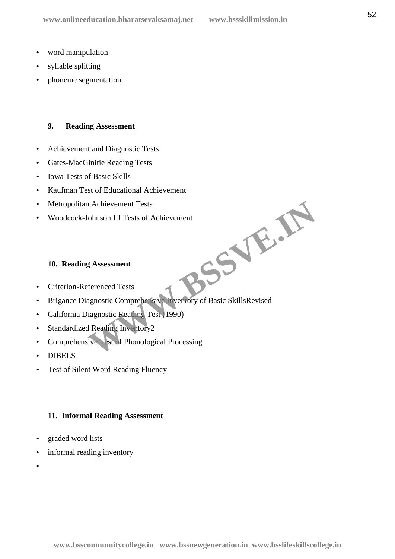**WWW.BSSVE.IN**

- word manipulation
- syllable splitting
- phoneme segmentation

### **9. Reading Assessment**

- Achievement and Diagnostic Tests
- Gates-MacGinitie Reading Tests
- Iowa Tests of Basic Skills
- Kaufman Test of Educational Achievement
- Metropolitan Achievement Tests
- Woodcock-Johnson III Tests of Achievement

### **10. Reading Assessment**

- Criterion-Referenced Tests
- Brigance Diagnostic Comprehensive Inventory of Basic SkillsRevised
- California Diagnostic Reading Test (1990)
- Standardized Reading Inventory2
- Comprehensive Test of Phonological Processing
- DIBELS
- Test of Silent Word Reading Fluency

### **11. Informal Reading Assessment**

- graded word lists
- informal reading inventory

 $\bullet$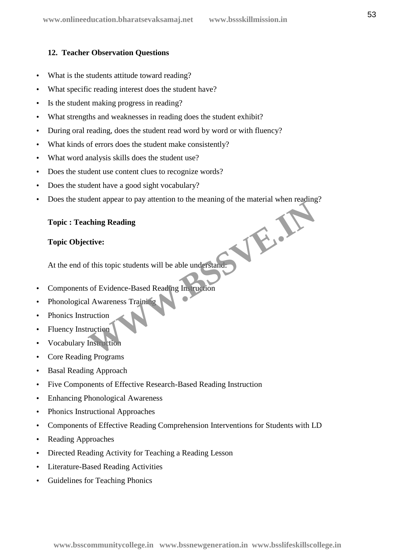### **12. Teacher Observation Questions**

- What is the students attitude toward reading?
- What specific reading interest does the student have?
- Is the student making progress in reading?
- What strengths and weaknesses in reading does the student exhibit?
- During oral reading, does the student read word by word or with fluency?
- What kinds of errors does the student make consistently?
- What word analysis skills does the student use?
- Does the student use content clues to recognize words?
- Does the student have a good sight vocabulary?
- Does the student appear to pay attention to the meaning of the material when reading? WE.A.

### **Topic : Teaching Reading**

### **Topic Objective:**

At the end of this topic students will be able understand:

- Components of Evidence-Based Reading Instruction
- Phonological Awareness Training
- Phonics Instruction
- Fluency Instruction
- Vocabulary Instruction
- Core Reading Programs
- Basal Reading Approach
- Five Components of Effective Research-Based Reading Instruction
- Enhancing Phonological Awareness
- Phonics Instructional Approaches
- Components of Effective Reading Comprehension Interventions for Students with LD
- Reading Approaches
- Directed Reading Activity for Teaching a Reading Lesson
- Literature-Based Reading Activities
- Guidelines for Teaching Phonics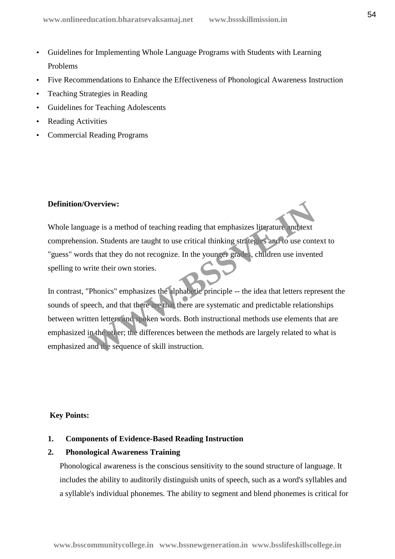- Guidelines for Implementing Whole Language Programs with Students with Learning Problems
- Five Recommendations to Enhance the Effectiveness of Phonological Awareness Instruction
- Teaching Strategies in Reading
- Guidelines for Teaching Adolescents
- Reading Activities
- Commercial Reading Programs

### **Definition/Overview:**

Whole language is a method of teaching reading that emphasizes literature and text comprehension. Students are taught to use critical thinking strategies and to use context to "guess" words that they do not recognize. In the younger grades, children use invented spelling to write their own stories.

In contrast, "Phonics" emphasizes the alphabetic principle -- the idea that letters represent the sounds of speech, and that there are that there are systematic and predictable relationships between written letters and spoken words. Both instructional methods use elements that are emphasized in the other; the differences between the methods are largely related to what is emphasized and the sequence of skill instruction. **Solution:**<br> **WEBSTURN:**<br> **WEBSTURN:**<br> **WEBSTURN:**<br> **WEBSTURN:**<br> **WEBSTURN:**<br> **WEBSTURN:**<br> **WEBSTURN:**<br> **WEBSTURN:**<br> **WEBSTURN:**<br> **WEBSTURN:**<br> **WEBSTURN:**<br> **WEBSTURN:**<br> **WEBSTURN:**<br> **WEBSTURN:**<br> **WEBSTURN:**<br> **WEBSTURN:**<br>

### **Key Points:**

### **1. Components of Evidence-Based Reading Instruction**

### **2. Phonological Awareness Training**

Phonological awareness is the conscious sensitivity to the sound structure of language. It includes the ability to auditorily distinguish units of speech, such as a word's syllables and a syllable's individual phonemes. The ability to segment and blend phonemes is critical for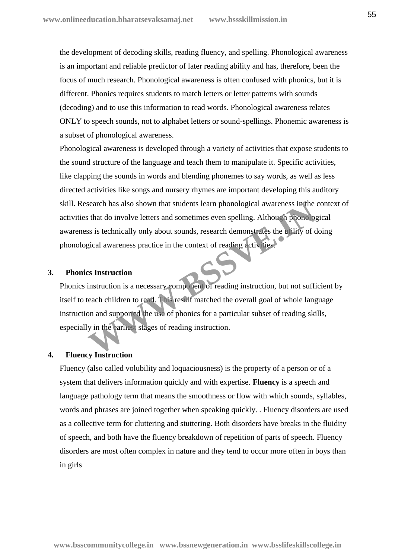the development of decoding skills, reading fluency, and spelling. Phonological awareness is an important and reliable predictor of later reading ability and has, therefore, been the focus of much research. Phonological awareness is often confused with phonics, but it is different. Phonics requires students to match letters or letter patterns with sounds (decoding) and to use this information to read words. Phonological awareness relates ONLY to speech sounds, not to alphabet letters or sound-spellings. Phonemic awareness is a subset of phonological awareness.

Phonological awareness is developed through a variety of activities that expose students to the sound structure of the language and teach them to manipulate it. Specific activities, like clapping the sounds in words and blending phonemes to say words, as well as less directed activities like songs and nursery rhymes are important developing this auditory skill. Research has also shown that students learn phonological awareness in the context of activities that do involve letters and sometimes even spelling. Although phonological awareness is technically only about sounds, research demonstrates the utility of doing phonological awareness practice in the context of reading activities.

### **3. Phonics Instruction**

Phonics instruction is a necessary component of reading instruction, but not sufficient by itself to teach children to read. This result matched the overall goal of whole language instruction and supported the use of phonics for a particular subset of reading skills, especially in the earliest stages of reading instruction. Search has also shown that students learn phonological awareness in the<br>
state do involve letters and sometimes even spelling. Although phonology<br>
sis is technically only about sounds, research demonstrates the utility of

### **4. Fluency Instruction**

Fluency (also called volubility and loquaciousness) is the property of a person or of a system that delivers information quickly and with expertise. **Fluency** is a speech and language pathology term that means the smoothness or flow with which sounds, syllables, words and phrases are joined together when speaking quickly. . Fluency disorders are used as a collective term for cluttering and stuttering. Both disorders have breaks in the fluidity of speech, and both have the fluency breakdown of repetition of parts of speech. Fluency disorders are most often complex in nature and they tend to occur more often in boys than in girls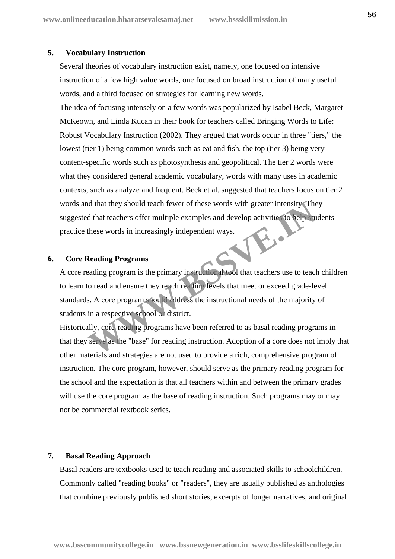### **5. Vocabulary Instruction**

Several theories of vocabulary instruction exist, namely, one focused on intensive instruction of a few high value words, one focused on broad instruction of many useful words, and a third focused on strategies for learning new words.

The idea of focusing intensely on a few words was popularized by Isabel Beck, Margaret McKeown, and Linda Kucan in their book for teachers called Bringing Words to Life: Robust Vocabulary Instruction (2002). They argued that words occur in three "tiers," the lowest (tier 1) being common words such as eat and fish, the top (tier 3) being very content-specific words such as photosynthesis and geopolitical. The tier 2 words were what they considered general academic vocabulary, words with many uses in academic contexts, such as analyze and frequent. Beck et al. suggested that teachers focus on tier 2 words and that they should teach fewer of these words with greater intensity. They suggested that teachers offer multiple examples and develop activities to help students practice these words in increasingly independent ways.

### **6. Core Reading Programs**

A core reading program is the primary instructional tool that teachers use to teach children to learn to read and ensure they reach reading levels that meet or exceed grade-level standards. A core program should address the instructional needs of the majority of students in a respective school or district. In the districts and strategies are not used to provide a rich comprehensive properties and the district these words in increasingly independent ways.<br> **Reading Programs**<br> **Reading Programs**<br> **Reading Programs**<br> **Reading P** 

Historically, core-reading programs have been referred to as basal reading programs in that they serve as the "base" for reading instruction. Adoption of a core does not imply that other materials and strategies are not used to provide a rich, comprehensive program of instruction. The core program, however, should serve as the primary reading program for the school and the expectation is that all teachers within and between the primary grades will use the core program as the base of reading instruction. Such programs may or may not be commercial textbook series.

### **7. Basal Reading Approach**

Basal readers are textbooks used to teach reading and associated skills to schoolchildren. Commonly called "reading books" or "readers", they are usually published as anthologies that combine previously published short stories, excerpts of longer narratives, and original

**www.bsscommunitycollege.in www.bssnewgeneration.in www.bsslifeskillscollege.in**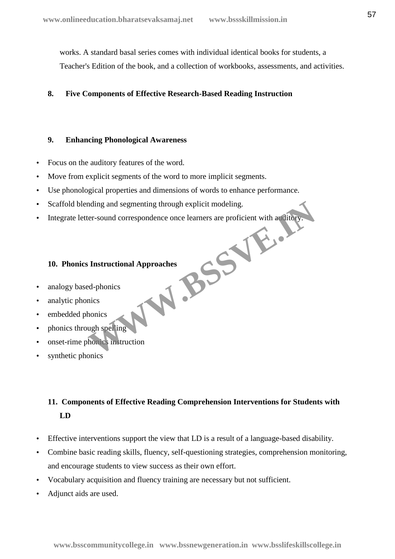works. A standard basal series comes with individual identical books for students, a Teacher's Edition of the book, and a collection of workbooks, assessments, and activities.

### **8. Five Components of Effective Research-Based Reading Instruction**

### **9. Enhancing Phonological Awareness**

- Focus on the auditory features of the word.
- Move from explicit segments of the word to more implicit segments.
- Use phonological properties and dimensions of words to enhance performance.
- Scaffold blending and segmenting through explicit modeling.
- Integrate letter-sound correspondence once learners are proficient with auditory. With andis

### **10. Phonics Instructional Approaches**

- analogy based-phonics
- analytic phonics
- embedded phonics
- phonics through spelling
- onset-rime phonics instruction
- synthetic phonics

### **11. Components of Effective Reading Comprehension Interventions for Students with LD**

- Effective interventions support the view that LD is a result of a language-based disability.
- Combine basic reading skills, fluency, self-questioning strategies, comprehension monitoring, and encourage students to view success as their own effort.
- Vocabulary acquisition and fluency training are necessary but not sufficient.
- Adjunct aids are used.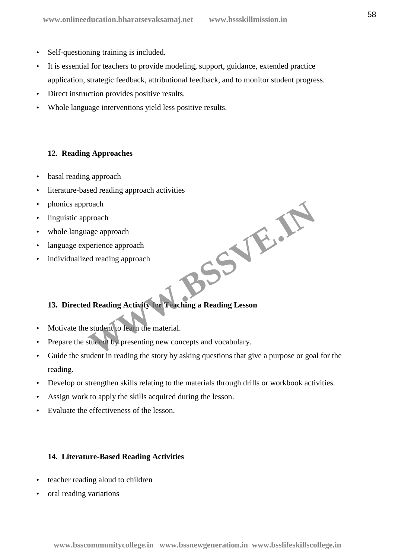- Self-questioning training is included.
- It is essential for teachers to provide modeling, support, guidance, extended practice application, strategic feedback, attributional feedback, and to monitor student progress.
- Direct instruction provides positive results.
- Whole language interventions yield less positive results.

### **12. Reading Approaches**

- basal reading approach
- literature-based reading approach activities
- phonics approach
- linguistic approach
- whole language approach
- language experience approach
- individualized reading approach

## **13. Directed Reading Activity for Teaching a Reading Lesson WWW.BSSVE.IN**

- Motivate the student to learn the material.
- Prepare the student by presenting new concepts and vocabulary.
- Guide the student in reading the story by asking questions that give a purpose or goal for the reading.
- Develop or strengthen skills relating to the materials through drills or workbook activities.
- Assign work to apply the skills acquired during the lesson.
- Evaluate the effectiveness of the lesson.

### **14. Literature-Based Reading Activities**

- teacher reading aloud to children
- oral reading variations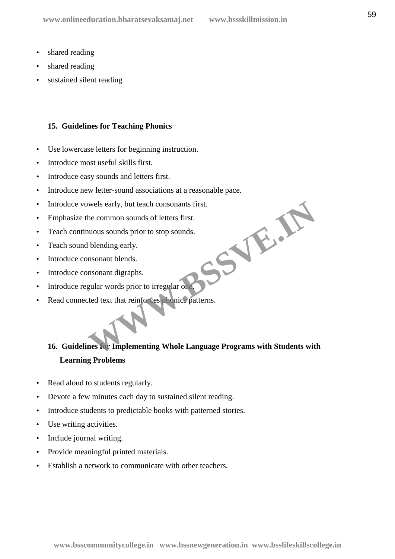W.B.A

- shared reading
- shared reading
- sustained silent reading

### **15. Guidelines for Teaching Phonics**

- Use lowercase letters for beginning instruction.
- Introduce most useful skills first.
- Introduce easy sounds and letters first.
- Introduce new letter-sound associations at a reasonable pace.
- Introduce vowels early, but teach consonants first.
- Emphasize the common sounds of letters first.
- Teach continuous sounds prior to stop sounds.
- Teach sound blending early.
- Introduce consonant blends.
- Introduce consonant digraphs.
- Introduce regular words prior to irregular one.
- Read connected text that reinforces phonics patterns.

### **16. Guidelines for Implementing Whole Language Programs with Students with Learning Problems**

- Read aloud to students regularly.
- Devote a few minutes each day to sustained silent reading.
- Introduce students to predictable books with patterned stories.
- Use writing activities.
- Include journal writing.
- Provide meaningful printed materials.
- Establish a network to communicate with other teachers.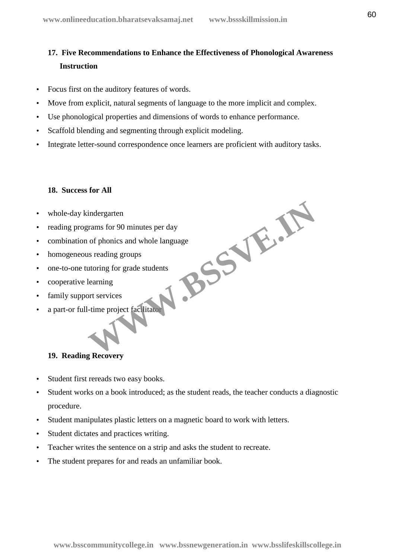### **17. Five Recommendations to Enhance the Effectiveness of Phonological Awareness Instruction**

- Focus first on the auditory features of words.
- Move from explicit, natural segments of language to the more implicit and complex.
- Use phonological properties and dimensions of words to enhance performance.
- Scaffold blending and segmenting through explicit modeling.
- Integrate letter-sound correspondence once learners are proficient with auditory tasks.

### **18. Success for All**

- whole-day kindergarten
- reading programs for 90 minutes per day
- combination of phonics and whole language **WWW.BSSVE.IN**
- homogeneous reading groups
- one-to-one tutoring for grade students
- cooperative learning
- family support services
- a part-or full-time project facilitator

### **19. Reading Recovery**

- Student first rereads two easy books.
- Student works on a book introduced; as the student reads, the teacher conducts a diagnostic procedure.
- Student manipulates plastic letters on a magnetic board to work with letters.
- Student dictates and practices writing.
- Teacher writes the sentence on a strip and asks the student to recreate.
- The student prepares for and reads an unfamiliar book.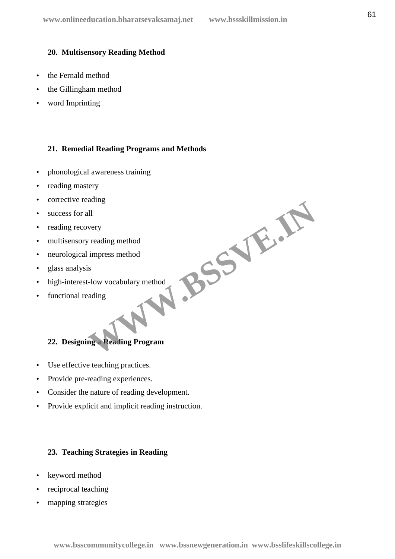### **20. Multisensory Reading Method**

- the Fernald method
- the Gillingham method
- word Imprinting

### **21. Remedial Reading Programs and Methods**

- phonological awareness training
- reading mastery
- corrective reading
- success for all
- reading recovery
- multisensory reading method
- neurological impress method
- glass analysis
- high-interest-low vocabulary method **WASSERF**
- functional reading

### **22. Designing a Reading Program**

- Use effective teaching practices.
- Provide pre-reading experiences.
- Consider the nature of reading development.
- Provide explicit and implicit reading instruction.

### **23. Teaching Strategies in Reading**

- keyword method
- reciprocal teaching
- mapping strategies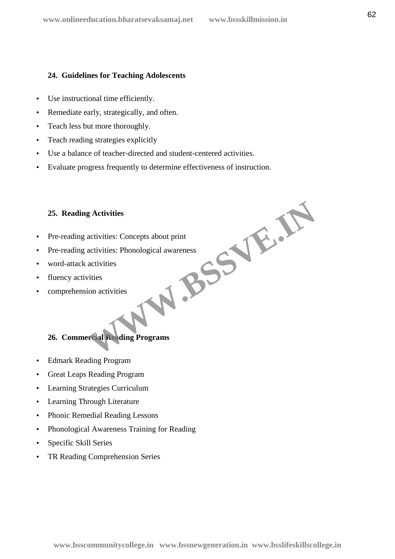### **24. Guidelines for Teaching Adolescents**

- Use instructional time efficiently.
- Remediate early, strategically, and often.
- Teach less but more thoroughly.
- Teach reading strategies explicitly
- Use a balance of teacher-directed and student-centered activities.
- Evaluate progress frequently to determine effectiveness of instruction.

### **25. Reading Activities**

- Pre-reading activities: Concepts about print
- Pre-reading activities: Phonological awareness **WWW.BSSVE.IN**
- word-attack activities
- fluency activities
- comprehension activities

### **26. Commercial Reading Programs**

- Edmark Reading Program
- Great Leaps Reading Program
- Learning Strategies Curriculum
- Learning Through Literature
- Phonic Remedial Reading Lessons
- Phonological Awareness Training for Reading
- Specific Skill Series
- TR Reading Comprehension Series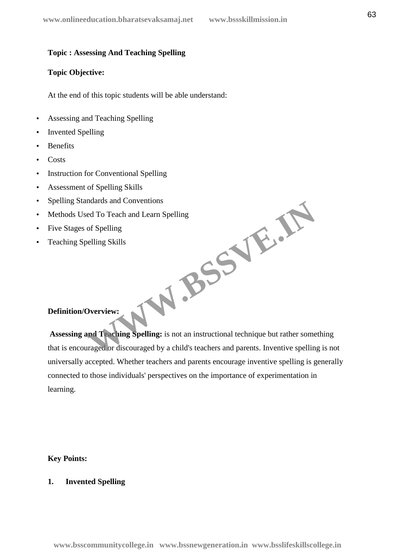### **Topic : Assessing And Teaching Spelling**

### **Topic Objective:**

At the end of this topic students will be able understand:

- Assessing and Teaching Spelling
- Invented Spelling
- Benefits
- Costs
- Instruction for Conventional Spelling
- Assessment of Spelling Skills
- Spelling Standards and Conventions
- Methods Used To Teach and Learn Spelling
- Five Stages of Spelling
- Teaching Spelling Skills

### **Definition/Overview:**

**Assessing and Teaching Spelling:** is not an instructional technique but rather something that is encouraged or discouraged by a child's teachers and parents. Inventive spelling is not universally accepted. Whether teachers and parents encourage inventive spelling is generally connected to those individuals' perspectives on the importance of experimentation in learning. **WWW.BSSVE.IN**

### **Key Points:**

### **1. Invented Spelling**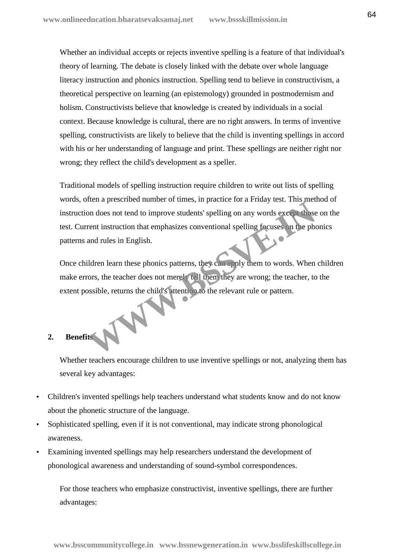Whether an individual accepts or rejects inventive spelling is a feature of that individual's theory of learning. The debate is closely linked with the debate over whole language literacy instruction and phonics instruction. Spelling tend to believe in constructivism, a theoretical perspective on learning (an epistemology) grounded in postmodernism and holism. Constructivists believe that knowledge is created by individuals in a social context. Because knowledge is cultural, there are no right answers. In terms of inventive spelling, constructivists are likely to believe that the child is inventing spellings in accord with his or her understanding of language and print. These spellings are neither right nor wrong; they reflect the child's development as a speller.

Traditional models of spelling instruction require children to write out lists of spelling words, often a prescribed number of times, in practice for a Friday test. This method of instruction does not tend to improve students' spelling on any words except those on the test. Current instruction that emphasizes conventional spelling focuses on the phonics patterns and rules in English. Then a presented namber of this, in practice for a 1 half, test. This includes the test of the test of the phonon does not tend to improve students' spelling on any words except those term instruction that emphasizes conve

Once children learn these phonics patterns, they can apply them to words. When children make errors, the teacher does not merely tell them they are wrong; the teacher, to the extent possible, returns the child's attention to the relevant rule or pattern.

### **2. Benefits**

Whether teachers encourage children to use inventive spellings or not, analyzing them has several key advantages:

- Children's invented spellings help teachers understand what students know and do not know about the phonetic structure of the language.
- Sophisticated spelling, even if it is not conventional, may indicate strong phonological awareness.
- Examining invented spellings may help researchers understand the development of phonological awareness and understanding of sound-symbol correspondences.

For those teachers who emphasize constructivist, inventive spellings, there are further advantages: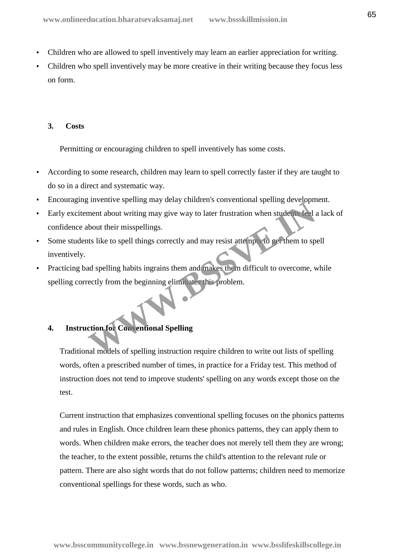- Children who are allowed to spell inventively may learn an earlier appreciation for writing.
- Children who spell inventively may be more creative in their writing because they focus less on form.

### **3. Costs**

Permitting or encouraging children to spell inventively has some costs.

- According to some research, children may learn to spell correctly faster if they are taught to do so in a direct and systematic way.
- Encouraging inventive spelling may delay children's conventional spelling development.
- Early excitement about writing may give way to later frustration when students feel a lack of confidence about their misspellings.
- Some students like to spell things correctly and may resist attempts to get them to spell inventively.
- Practicing bad spelling habits ingrains them and makes them difficult to overcome, while spelling correctly from the beginning eliminates this problem. The means of the specific material structure is convenient a specific feel and the specific misspellings.<br>
Whout their misspellings.<br>
We discuss the to spell things correctly and may resist attempt to get them to sp<br>
ad sp

### **4. Instruction for Conventional Spelling**

Traditional models of spelling instruction require children to write out lists of spelling words, often a prescribed number of times, in practice for a Friday test. This method of instruction does not tend to improve students' spelling on any words except those on the test.

Current instruction that emphasizes conventional spelling focuses on the phonics patterns and rules in English. Once children learn these phonics patterns, they can apply them to words. When children make errors, the teacher does not merely tell them they are wrong; the teacher, to the extent possible, returns the child's attention to the relevant rule or pattern. There are also sight words that do not follow patterns; children need to memorize conventional spellings for these words, such as who.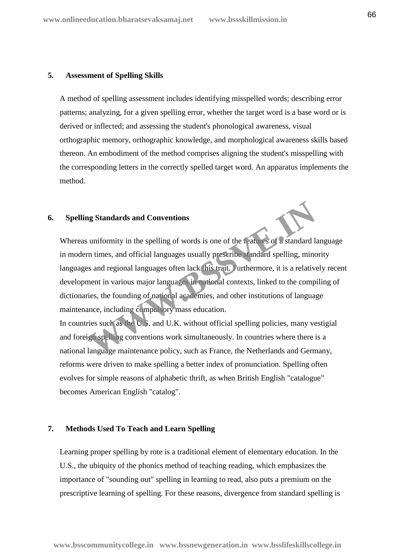### **5. Assessment of Spelling Skills**

A method of spelling assessment includes identifying misspelled words; describing error patterns; analyzing, for a given spelling error, whether the target word is a base word or is derived or inflected; and assessing the student's phonological awareness, visual orthographic memory, orthographic knowledge, and morphological awareness skills based thereon. An embodiment of the method comprises aligning the student's misspelling with the corresponding letters in the correctly spelled target word. An apparatus implements the method.

### **6. Spelling Standards and Conventions**

Whereas uniformity in the spelling of words is one of the features of a standard language in modern times, and official languages usually prescribe standard spelling, minority languages and regional languages often lack this trait. Furthermore, it is a relatively recent development in various major languages in national contexts, linked to the compiling of dictionaries, the founding of national academies, and other institutions of language maintenance, including compulsory mass education. **Example 18 Standards and Conventions**<br>
uniformity in the spelling of words is one of the features of a standard lem<br>
in times, and official languages usually preseribe and<br>
and angle spelling, minds and regional languages

In countries such as the U.S. and U.K. without official spelling policies, many vestigial and foreign spelling conventions work simultaneously. In countries where there is a national language maintenance policy, such as France, the Netherlands and Germany, reforms were driven to make spelling a better index of pronunciation. Spelling often evolves for simple reasons of alphabetic thrift, as when British English "catalogue" becomes American English "catalog".

### **7. Methods Used To Teach and Learn Spelling**

Learning proper spelling by rote is a traditional element of elementary education. In the U.S., the ubiquity of the phonics method of teaching reading, which emphasizes the importance of "sounding out" spelling in learning to read, also puts a premium on the prescriptive learning of spelling. For these reasons, divergence from standard spelling is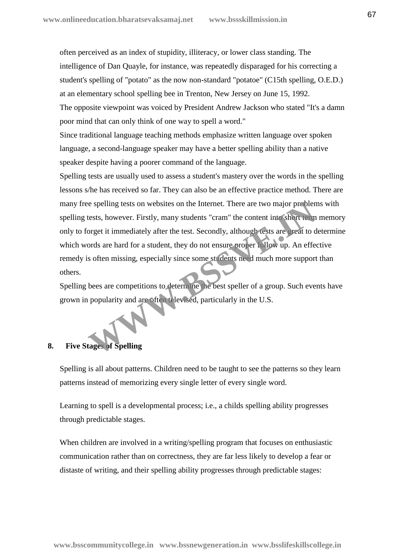often perceived as an index of stupidity, illiteracy, or lower class standing. The intelligence of Dan Quayle, for instance, was repeatedly disparaged for his correcting a student's spelling of "potato" as the now non-standard "potatoe" (C15th spelling, O.E.D.) at an elementary school spelling bee in Trenton, New Jersey on June 15, 1992.

The opposite viewpoint was voiced by President Andrew Jackson who stated "It's a damn poor mind that can only think of one way to spell a word."

Since traditional language teaching methods emphasize written language over spoken language, a second-language speaker may have a better spelling ability than a native speaker despite having a poorer command of the language.

Spelling tests are usually used to assess a student's mastery over the words in the spelling lessons s/he has received so far. They can also be an effective practice method. There are many free spelling tests on websites on the Internet. There are two major problems with spelling tests, however. Firstly, many students "cram" the content into short term memory only to forget it immediately after the test. Secondly, although tests are great to determine which words are hard for a student, they do not ensure proper follow up. An effective remedy is often missing, especially since some students need much more support than others. Example 18 and the spelling tests on websites on the Internet. There are two major problem<br>tests, however. Firstly, many students "cram" the content into short term<br>orget it immediately after the test. Secondly, although t

Spelling bees are competitions to determine the best speller of a group. Such events have grown in popularity and are often televised, particularly in the U.S.

### **8. Five Stages of Spelling**

Spelling is all about patterns. Children need to be taught to see the patterns so they learn patterns instead of memorizing every single letter of every single word.

Learning to spell is a developmental process; i.e., a childs spelling ability progresses through predictable stages.

When children are involved in a writing/spelling program that focuses on enthusiastic communication rather than on correctness, they are far less likely to develop a fear or distaste of writing, and their spelling ability progresses through predictable stages: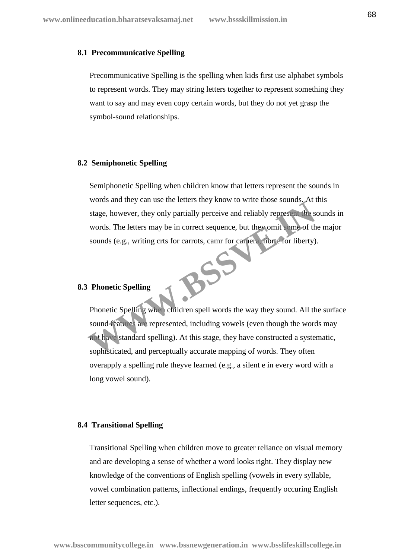### **8.1 Precommunicative Spelling**

Precommunicative Spelling is the spelling when kids first use alphabet symbols to represent words. They may string letters together to represent something they want to say and may even copy certain words, but they do not yet grasp the symbol-sound relationships.

### **8.2 Semiphonetic Spelling**

Semiphonetic Spelling when children know that letters represent the sounds in words and they can use the letters they know to write those sounds. At this stage, however, they only partially perceive and reliably represent the sounds in words. The letters may be in correct sequence, but they omit some of the major sounds (e.g., writing crts for carrots, camr for camera, libric for liberty).

### **8.3 Phonetic Spelling**

Phonetic Spelling when children spell words the way they sound. All the surface sound features are represented, including vowels (even though the words may not have standard spelling). At this stage, they have constructed a systematic, sophisticated, and perceptually accurate mapping of words. They often overapply a spelling rule theyve learned (e.g., a silent e in every word with a long vowel sound). Stage, however, they only partially perceive and reliably represent the swords. The letters may be in correct sequence, but they omit some of the swords. The letters may be in correct sequence, but they omit some of the so

### **8.4 Transitional Spelling**

Transitional Spelling when children move to greater reliance on visual memory and are developing a sense of whether a word looks right. They display new knowledge of the conventions of English spelling (vowels in every syllable, vowel combination patterns, inflectional endings, frequently occuring English letter sequences, etc.).

**www.bsscommunitycollege.in www.bssnewgeneration.in www.bsslifeskillscollege.in**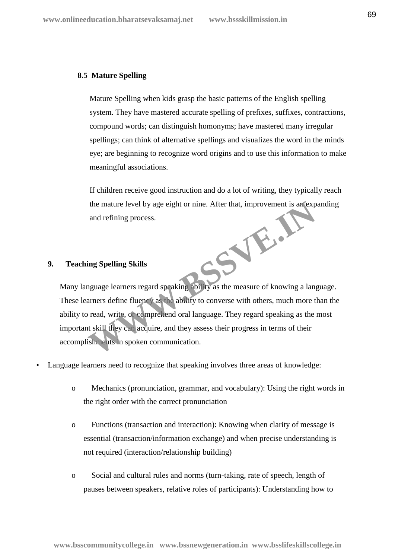### **8.5 Mature Spelling**

Mature Spelling when kids grasp the basic patterns of the English spelling system. They have mastered accurate spelling of prefixes, suffixes, contractions, compound words; can distinguish homonyms; have mastered many irregular spellings; can think of alternative spellings and visualizes the word in the minds eye; are beginning to recognize word origins and to use this information to make meaningful associations.

If children receive good instruction and do a lot of writing, they typically reach the mature level by age eight or nine. After that, improvement is an expanding and refining process. WWW.BSS

### **9. Teaching Spelling Skills**

Many language learners regard speaking ability as the measure of knowing a language. These learners define fluency as the ability to converse with others, much more than the ability to read, write, or comprehend oral language. They regard speaking as the most important skill they can acquire, and they assess their progress in terms of their accomplishments in spoken communication.

- Language learners need to recognize that speaking involves three areas of knowledge:
	- o Mechanics (pronunciation, grammar, and vocabulary): Using the right words in the right order with the correct pronunciation
	- o Functions (transaction and interaction): Knowing when clarity of message is essential (transaction/information exchange) and when precise understanding is not required (interaction/relationship building)
	- o Social and cultural rules and norms (turn-taking, rate of speech, length of pauses between speakers, relative roles of participants): Understanding how to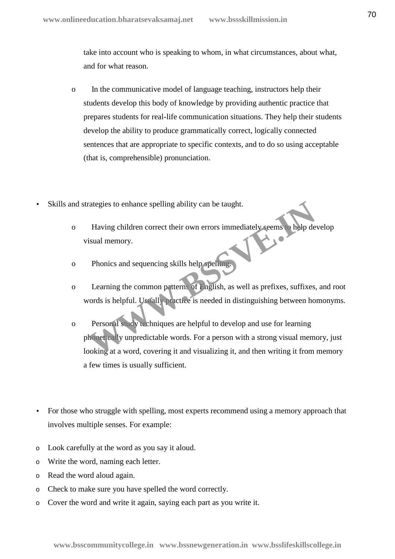take into account who is speaking to whom, in what circumstances, about what, and for what reason.

- o In the communicative model of language teaching, instructors help their students develop this body of knowledge by providing authentic practice that prepares students for real-life communication situations. They help their students develop the ability to produce grammatically correct, logically connected sentences that are appropriate to specific contexts, and to do so using acceptable (that is, comprehensible) pronunciation.
- Skills and strategies to enhance spelling ability can be taught.
	- o Having children correct their own errors immediately seems to help develop visual memory.
	- o Phonics and sequencing skills help spelling.
	- o Learning the common patterns of English, as well as prefixes, suffixes, and root words is helpful. Usually practice is needed in distinguishing between homonyms.
	- o Personal study techniques are helpful to develop and use for learning phonetically unpredictable words. For a person with a strong visual memory, just looking at a word, covering it and visualizing it, and then writing it from memory a few times is usually sufficient. Transies to enhance spelling ability can be taught.<br>
	Having children correct their own errors immediately seems to help de<br>
	isual memory.<br>
	Phonics and sequencing skills help spelling.<br>
	Learning the common patterns of Ingli
- For those who struggle with spelling, most experts recommend using a memory approach that involves multiple senses. For example:
- o Look carefully at the word as you say it aloud.
- o Write the word, naming each letter.
- o Read the word aloud again.
- o Check to make sure you have spelled the word correctly.
- o Cover the word and write it again, saying each part as you write it.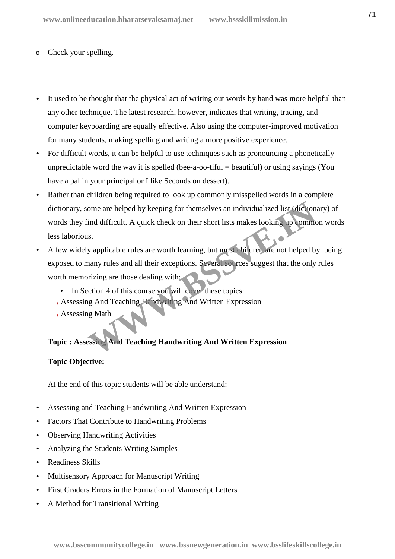- o Check your spelling.
- It used to be thought that the physical act of writing out words by hand was more helpful than any other technique. The latest research, however, indicates that writing, tracing, and computer keyboarding are equally effective. Also using the computer-improved motivation for many students, making spelling and writing a more positive experience.
- For difficult words, it can be helpful to use techniques such as pronouncing a phonetically unpredictable word the way it is spelled (bee-a-oo-tiful  $=$  beautiful) or using sayings (You have a pal in your principal or I like Seconds on dessert).
- Rather than children being required to look up commonly misspelled words in a complete dictionary, some are helped by keeping for themselves an individualized list (dictionary) of words they find difficult. A quick check on their short lists makes looking up common words less laborious. ome are helped by keeping for themselves an individualized list (diction<br>ind difficult. A quick check on their short lists makes looking up commo<br>is.<br>w applicable rules are worth learning, but most children are not helped
- A few widely applicable rules are worth learning, but most children are not helped by being exposed to many rules and all their exceptions. Several sources suggest that the only rules worth memorizing are those dealing with:
	- In Section 4 of this course you will cover these topics:
	- Assessing And Teaching Handwriting And Written Expression
	- Assessing Math

### **Topic : Assessing And Teaching Handwriting And Written Expression**

### **Topic Objective:**

At the end of this topic students will be able understand:

- Assessing and Teaching Handwriting And Written Expression
- Factors That Contribute to Handwriting Problems
- Observing Handwriting Activities
- Analyzing the Students Writing Samples
- Readiness Skills
- Multisensory Approach for Manuscript Writing
- First Graders Errors in the Formation of Manuscript Letters
- A Method for Transitional Writing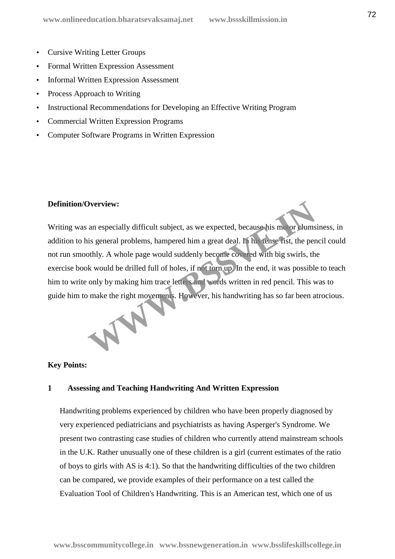- Cursive Writing Letter Groups
- Formal Written Expression Assessment
- Informal Written Expression Assessment
- Process Approach to Writing
- Instructional Recommendations for Developing an Effective Writing Program
- Commercial Written Expression Programs
- Computer Software Programs in Written Expression

### **Definition/Overview:**

Writing was an especially difficult subject, as we expected, because his motor clumsiness, in addition to his general problems, hampered him a great deal. In his tense fist, the pencil could not run smoothly. A whole page would suddenly become covered with big swirls, the exercise book would be drilled full of holes, if not torn up. In the end, it was possible to teach him to write only by making him trace letters and words written in red pencil. This was to guide him to make the right movements. However, his handwriting has so far been atrocious. **Solution**<br>
Solution and the specially difficult subject, as we expected, because his me for elums<br>
is general problems, hampered him a great deal. **in his tense fist**, the per<br>
only b. A whole page would suddenly become c



### **Key Points:**

### **1 Assessing and Teaching Handwriting And Written Expression**

Handwriting problems experienced by children who have been properly diagnosed by very experienced pediatricians and psychiatrists as having Asperger's Syndrome. We present two contrasting case studies of children who currently attend mainstream schools in the U.K. Rather unusually one of these children is a girl (current estimates of the ratio of boys to girls with AS is 4:1). So that the handwriting difficulties of the two children can be compared, we provide examples of their performance on a test called the Evaluation Tool of Children's Handwriting. This is an American test, which one of us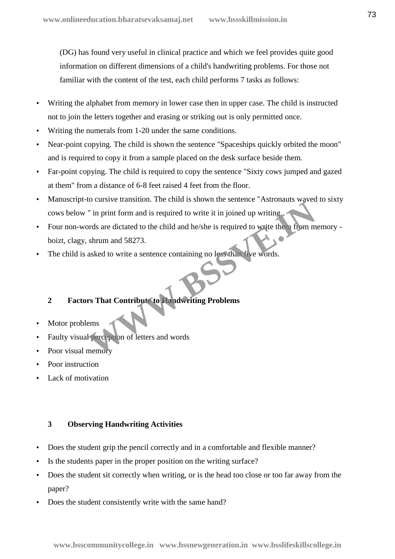(DG) has found very useful in clinical practice and which we feel provides quite good information on different dimensions of a child's handwriting problems. For those not familiar with the content of the test, each child performs 7 tasks as follows:

- Writing the alphabet from memory in lower case then in upper case. The child is instructed not to join the letters together and erasing or striking out is only permitted once.
- Writing the numerals from 1-20 under the same conditions.
- Near-point copying. The child is shown the sentence "Spaceships quickly orbited the moon" and is required to copy it from a sample placed on the desk surface beside them.
- Far-point copying. The child is required to copy the sentence "Sixty cows jumped and gazed at them" from a distance of 6-8 feet raised 4 feet from the floor.
- Manuscript-to cursive transition. The child is shown the sentence "Astronauts waved to sixty cows below " in print form and is required to write it in joined up writing.
- Four non-words are dictated to the child and he/she is required to write them from memory boizt, clagy, shrum and 58273. The print form and is required to write it in joined up writing<br>
The print form and is required to write it in joined up writing<br>
Shown the share of the child and he/she is required to write the in from m<br>
shrum and 58273.
- The child is asked to write a sentence containing no less than five words.

## **2 Factors That Contribute to Handwriting Problems**

- Motor problems
- Faulty visual perception of letters and words
- Poor visual memory
- Poor instruction
- Lack of motivation

### **3 Observing Handwriting Activities**

- Does the student grip the pencil correctly and in a comfortable and flexible manner?
- Is the students paper in the proper position on the writing surface?
- Does the student sit correctly when writing, or is the head too close or too far away from the paper?
- Does the student consistently write with the same hand?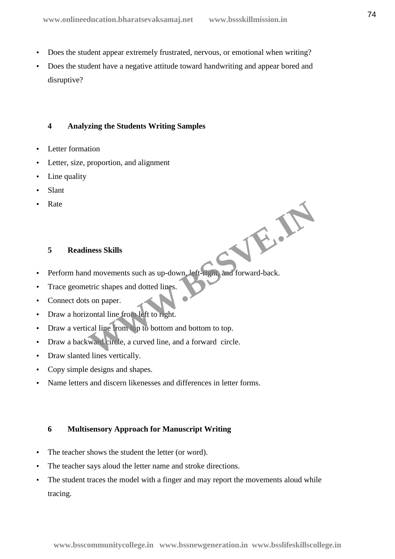- Does the student appear extremely frustrated, nervous, or emotional when writing?
- Does the student have a negative attitude toward handwriting and appear bored and disruptive?

### **4 Analyzing the Students Writing Samples**

- Letter formation
- Letter, size, proportion, and alignment
- Line quality
- Slant
- Rate

### **5 Readiness Skills**

- Perform hand movements such as up-down, left-right, and forward-back. **WARRENT CONTROLLER**
- Trace geometric shapes and dotted lines.
- Connect dots on paper.
- Draw a horizontal line from left to right.
- Draw a vertical line from top to bottom and bottom to top.
- Draw a backward circle, a curved line, and a forward circle.
- Draw slanted lines vertically.
- Copy simple designs and shapes.
- Name letters and discern likenesses and differences in letter forms.

### **6 Multisensory Approach for Manuscript Writing**

- The teacher shows the student the letter (or word).
- The teacher says aloud the letter name and stroke directions.
- The student traces the model with a finger and may report the movements aloud while tracing.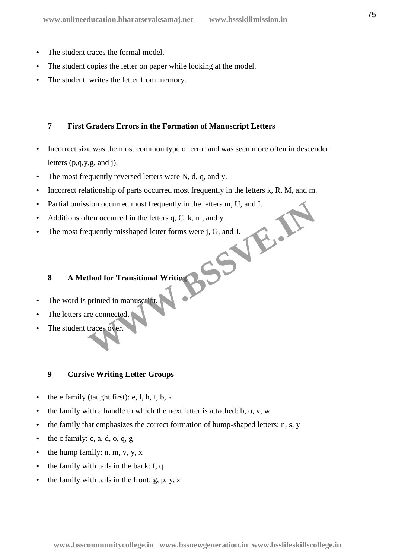- The student traces the formal model.
- The student copies the letter on paper while looking at the model.
- The student writes the letter from memory.

### **7 First Graders Errors in the Formation of Manuscript Letters**

- Incorrect size was the most common type of error and was seen more often in descender letters (p,q,y,g, and j).
- The most frequently reversed letters were N, d, q, and y.
- Incorrect relationship of parts occurred most frequently in the letters k, R, M, and m.
- Partial omission occurred most frequently in the letters m, U, and I.
- Additions often occurred in the letters q, C, k, m, and y.
- The most frequently misshaped letter forms were j, G, and J. **WWW.BSSVE.IN**

# **8 A Method for Transitional Writing**

- The word is printed in manuscript.
- The letters are connected.
- The student traces over.

### **9 Cursive Writing Letter Groups**

- the e family (taught first): e, l, h, f, b, k
- the family with a handle to which the next letter is attached: b, o, v, w
- the family that emphasizes the correct formation of hump-shaped letters: n, s, y
- $\bullet$  the c family: c, a, d, o, q, g
- the hump family: n, m, v, y, x
- the family with tails in the back: f, q
- the family with tails in the front: g, p, y, z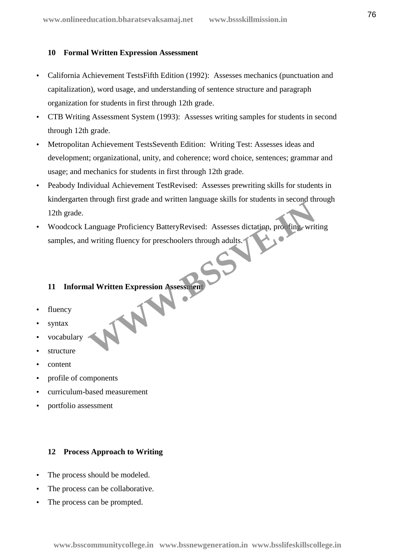### **10 Formal Written Expression Assessment**

- California Achievement TestsFifth Edition (1992): Assesses mechanics (punctuation and capitalization), word usage, and understanding of sentence structure and paragraph organization for students in first through 12th grade.
- CTB Writing Assessment System (1993): Assesses writing samples for students in second through 12th grade.
- Metropolitan Achievement TestsSeventh Edition: Writing Test: Assesses ideas and development; organizational, unity, and coherence; word choice, sentences; grammar and usage; and mechanics for students in first through 12th grade.
- Peabody Individual Achievement TestRevised: Assesses prewriting skills for students in kindergarten through first grade and written language skills for students in second through 12th grade.
- Woodcock Language Proficiency BatteryRevised: Assesses dictation, proofing, writing samples, and writing fluency for preschoolers through adults. Example Proficiency BatteryRevised: Assesses dictation, pro-fing-write<br>
I writing fluency for preschoolers through adults.<br>
all Written Expression Assessment

### **11 Informal Written Expression Assessment**

- fluency
- syntax
- vocabulary
- structure
- content
- profile of components
- curriculum-based measurement
- portfolio assessment

### **12 Process Approach to Writing**

- The process should be modeled.
- The process can be collaborative.
- The process can be prompted.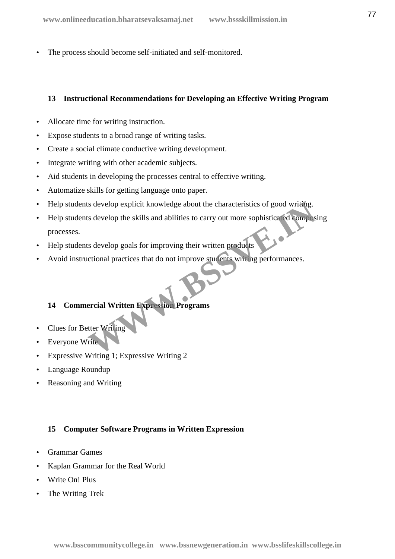The process should become self-initiated and self-monitored.

### **13 Instructional Recommendations for Developing an Effective Writing Program**

- Allocate time for writing instruction.
- Expose students to a broad range of writing tasks.
- Create a social climate conductive writing development.
- Integrate writing with other academic subjects.
- Aid students in developing the processes central to effective writing.
- Automatize skills for getting language onto paper.
- Help students develop explicit knowledge about the characteristics of good writing.
- Help students develop the skills and abilities to carry out more sophisticated composing processes. Is develop explicit knowledge about the characteristics of good writing.<br>
Is develop the skills and abilities to carry out more sophistical ed composes<br>
Is develop goals for improving their written products<br>
Citional pract
- Help students develop goals for improving their written products
- Avoid instructional practices that do not improve students writing performances.

### **14 Commercial Written Expression Programs**

- Clues for Better Writing
- Everyone Write
- Expressive Writing 1; Expressive Writing 2
- Language Roundup
- Reasoning and Writing

### **15 Computer Software Programs in Written Expression**

- Grammar Games
- Kaplan Grammar for the Real World
- Write On! Plus
- The Writing Trek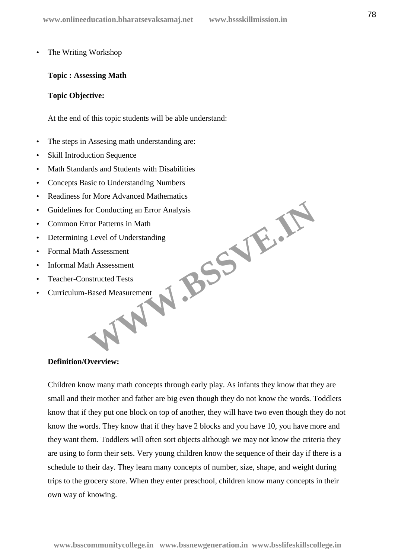The Writing Workshop

### **Topic : Assessing Math**

### **Topic Objective:**

At the end of this topic students will be able understand:

- The steps in Assesing math understanding are:
- Skill Introduction Sequence
- Math Standards and Students with Disabilities
- Concepts Basic to Understanding Numbers
- Readiness for More Advanced Mathematics
- Guidelines for Conducting an Error Analysis For Conducting an Error Analysis<br>ror Patterns in Math<br>Level of Understanding<br>a Assessment<br>th Assessment<br>structed Tests<br>Based Measurement
- Common Error Patterns in Math
- Determining Level of Understanding
- Formal Math Assessment
- Informal Math Assessment
- Teacher-Constructed Tests
- Curriculum-Based Measurement

### **Definition/Overview:**

Children know many math concepts through early play. As infants they know that they are small and their mother and father are big even though they do not know the words. Toddlers know that if they put one block on top of another, they will have two even though they do not know the words. They know that if they have 2 blocks and you have 10, you have more and they want them. Toddlers will often sort objects although we may not know the criteria they are using to form their sets. Very young children know the sequence of their day if there is a schedule to their day. They learn many concepts of number, size, shape, and weight during trips to the grocery store. When they enter preschool, children know many concepts in their own way of knowing.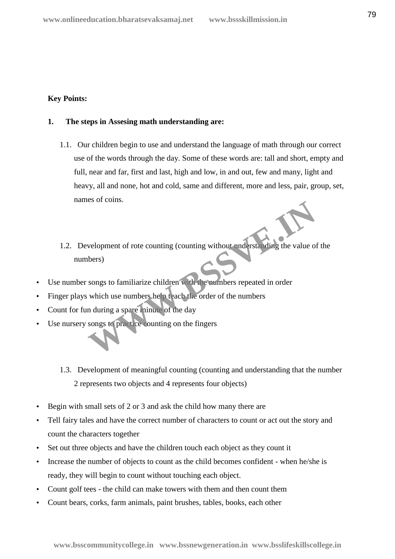### **Key Points:**

### **1. The steps in Assesing math understanding are:**

- 1.1. Our children begin to use and understand the language of math through our correct use of the words through the day. Some of these words are: tall and short, empty and full, near and far, first and last, high and low, in and out, few and many, light and heavy, all and none, hot and cold, same and different, more and less, pair, group, set, names of coins.
- 1.2. Development of rote counting (counting without understanding the value of the numbers) Experience of the counting (counting without finderstal ding the value of therman of rote counting (counting without finderstal ding the value of these parameters) songs to familiarize children with the pumbers repeated in
- Use number songs to familiarize children with the numbers repeated in order
- Finger plays which use numbers help teach the order of the numbers
- Count for fun during a spare minute of the day
- Use nursery songs to practice counting on the fingers
	- 1.3. Development of meaningful counting (counting and understanding that the number 2 represents two objects and 4 represents four objects)
- Begin with small sets of 2 or 3 and ask the child how many there are
- Tell fairy tales and have the correct number of characters to count or act out the story and count the characters together
- Set out three objects and have the children touch each object as they count it
- Increase the number of objects to count as the child becomes confident when he/she is ready, they will begin to count without touching each object.
- Count golf tees the child can make towers with them and then count them
- Count bears, corks, farm animals, paint brushes, tables, books, each other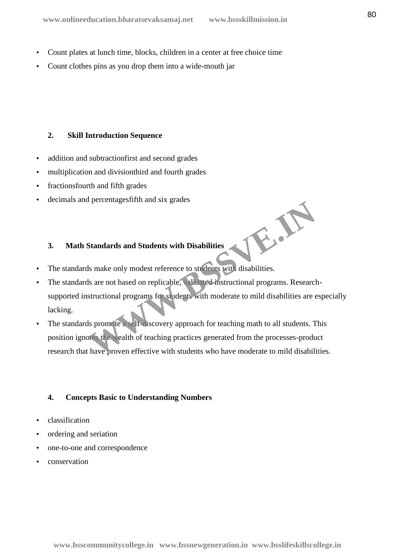- Count plates at lunch time, blocks, children in a center at free choice time
- Count clothes pins as you drop them into a wide-mouth jar

### **2. Skill Introduction Sequence**

- addition and subtractionfirst and second grades
- multiplication and divisionthird and fourth grades
- fractionsfourth and fifth grades
- decimals and percentagesfifth and six grades

### **3. Math Standards and Students with Disabilities**

- The standards make only modest reference to students with disabilities.
- The standards are not based on replicable, validated instructional programs. Research supported instructional programs for students with moderate to mild disabilities are especially lacking.

W.B.

 The standards promote a self-discovery approach for teaching math to all students. This position ignores the wealth of teaching practices generated from the processes-product research that have proven effective with students who have moderate to mild disabilities.

### **4. Concepts Basic to Understanding Numbers**

- classification
- ordering and seriation
- one-to-one and correspondence
- conservation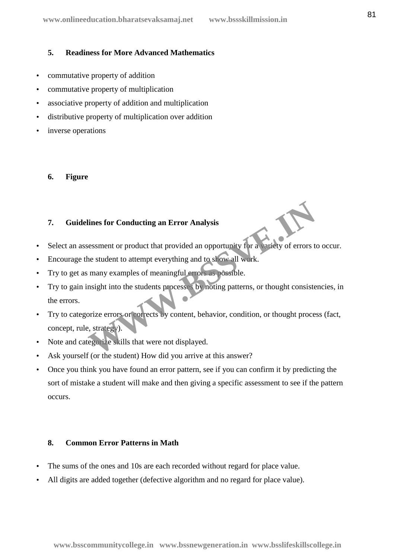### **5. Readiness for More Advanced Mathematics**

- commutative property of addition
- commutative property of multiplication
- associative property of addition and multiplication
- distributive property of multiplication over addition
- inverse operations

### **6. Figure**

### **7. Guidelines for Conducting an Error Analysis**

- Select an assessment or product that provided an opportunity for a variety of errors to occur.
- Encourage the student to attempt everything and to show all work.
- Try to get as many examples of meaningful errors as possible.
- Try to gain insight into the students processes by noting patterns, or thought consistencies, in the errors. tines for Conducting an Error Analysis<br>
ressment or product that provided an opportunity for a variety of errors to<br>
the student to attempt everything and to show all work.<br>
many examples of meaningful errors as possible.<br>
- Try to categorize errors or corrects by content, behavior, condition, or thought process (fact, concept, rule, strategy).
- Note and categorize skills that were not displayed.
- Ask yourself (or the student) How did you arrive at this answer?
- Once you think you have found an error pattern, see if you can confirm it by predicting the sort of mistake a student will make and then giving a specific assessment to see if the pattern occurs.

### **8. Common Error Patterns in Math**

- The sums of the ones and 10s are each recorded without regard for place value.
- All digits are added together (defective algorithm and no regard for place value).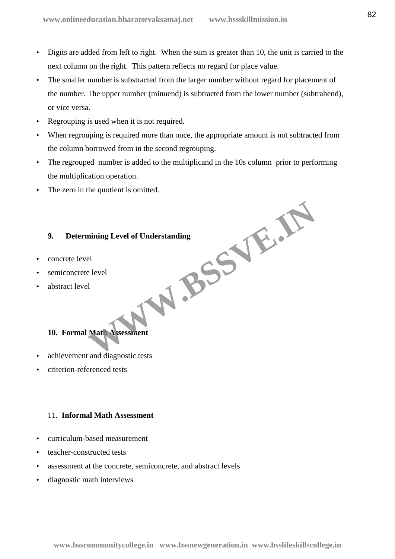- Digits are added from left to right. When the sum is greater than 10, the unit is carried to the next column on the right. This pattern reflects no regard for place value.
- The smaller number is substracted from the larger number without regard for placement of the number. The upper number (minuend) is subtracted from the lower number (subtrahend), or vice versa.
- Regrouping is used when it is not required.
- When regrouping is required more than once, the appropriate amount is not subtracted from the column borrowed from in the second regrouping.
- The regrouped number is added to the multiplicand in the 10s column prior to performing the multiplication operation.
- The zero in the quotient is omitted.

# **9. Determining Level of Understanding W.BSSVE.IN**

- concrete level
- semiconcrete level
- abstract level

### **10. Formal Math Assessment**

- achievement and diagnostic tests
- criterion-referenced tests

### 11. **Informal Math Assessment**

- curriculum-based measurement
- teacher-constructed tests
- assessment at the concrete, semiconcrete, and abstract levels
- diagnostic math interviews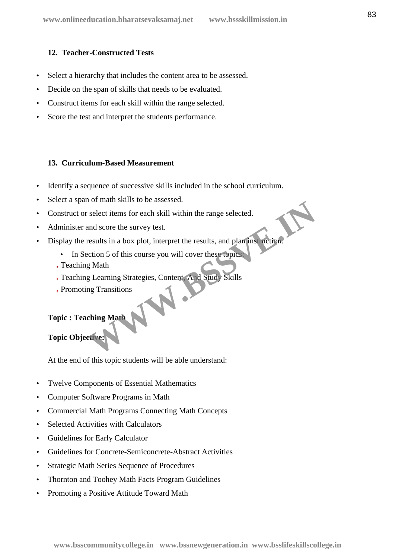### **12. Teacher-Constructed Tests**

- Select a hierarchy that includes the content area to be assessed.
- Decide on the span of skills that needs to be evaluated.
- Construct items for each skill within the range selected.
- Score the test and interpret the students performance.

### **13. Curriculum-Based Measurement**

- Identify a sequence of successive skills included in the school curriculum.
- Select a span of math skills to be assessed.
- Construct or select items for each skill within the range selected.
- Administer and score the survey test.
- Display the results in a box plot, interpret the results, and plan instruction. Select items for each skill within the range selected.<br>
and score the survey test.<br>
In a box plot, interpret the results, and plan instruction.<br>
The secults in a box plot, interpret the results, and plan instruction.<br>
Exte
	- In Section 5 of this course you will cover these topics:
	- Teaching Math
	- Teaching Learning Strategies, Content, And Study Skills
	- Promoting Transitions

### **Topic : Teaching Math**

**Topic Objective:**

At the end of this topic students will be able understand:

- Twelve Components of Essential Mathematics
- Computer Software Programs in Math
- Commercial Math Programs Connecting Math Concepts
- Selected Activities with Calculators
- Guidelines for Early Calculator
- Guidelines for Concrete-Semiconcrete-Abstract Activities
- Strategic Math Series Sequence of Procedures
- Thornton and Toohey Math Facts Program Guidelines
- Promoting a Positive Attitude Toward Math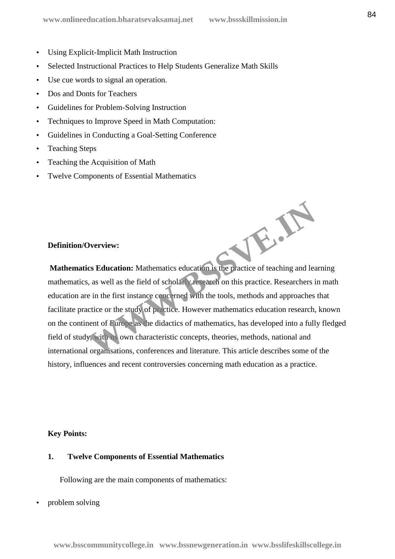- Using Explicit-Implicit Math Instruction
- Selected Instructional Practices to Help Students Generalize Math Skills
- Use cue words to signal an operation.
- Dos and Donts for Teachers
- Guidelines for Problem-Solving Instruction
- Techniques to Improve Speed in Math Computation:
- Guidelines in Conducting a Goal-Setting Conference
- Teaching Steps
- Teaching the Acquisition of Math
- Twelve Components of Essential Mathematics

### **Definition/Overview:**

**Mathematics Education:** Mathematics education is the practice of teaching and learning mathematics, as well as the field of scholarly research on this practice. Researchers in math education are in the first instance concerned with the tools, methods and approaches that facilitate practice or the study of practice. However mathematics education research, known on the continent of Europe as the didactics of mathematics, has developed into a fully fledged field of study, with its own characteristic concepts, theories, methods, national and international organisations, conferences and literature. This article describes some of the history, influences and recent controversies concerning math education as a practice. **WWW.BSSVE.IN**

### **Key Points:**

### **1. Twelve Components of Essential Mathematics**

Following are the main components of mathematics:

problem solving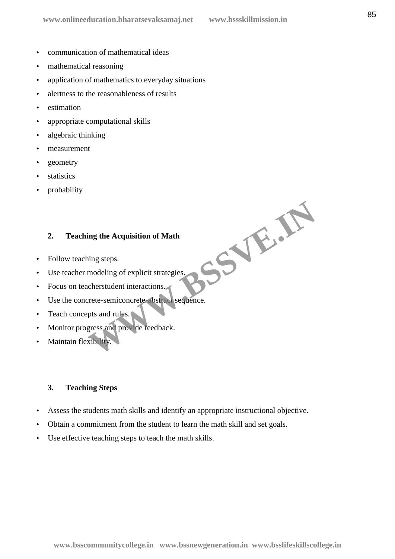- communication of mathematical ideas
- mathematical reasoning
- application of mathematics to everyday situations
- alertness to the reasonableness of results
- estimation
- appropriate computational skills
- algebraic thinking
- measurement
- geometry
- statistics
- probability

### **2. Teaching the Acquisition of Math**

- Follow teaching steps.
- Use teacher modeling of explicit strategies.
- Focus on teacherstudent interactions.
- Use the concrete-semiconcrete-abstract sequence.
- Teach concepts and rules.
- Monitor progress and provide feedback.
- Maintain flexibility.

### **3. Teaching Steps**

Assess the students math skills and identify an appropriate instructional objective.

**WWW.BSSVE.IN**

- Obtain a commitment from the student to learn the math skill and set goals.
- Use effective teaching steps to teach the math skills.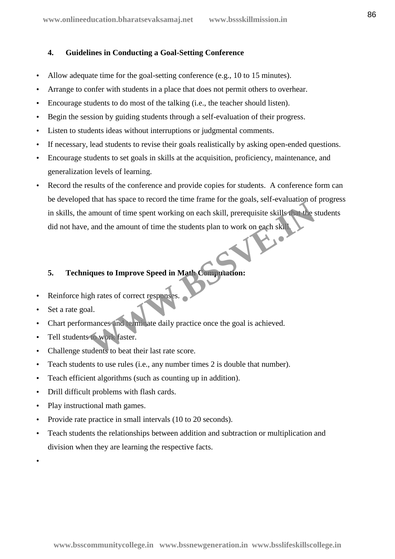### **4. Guidelines in Conducting a Goal-Setting Conference**

- Allow adequate time for the goal-setting conference (e.g., 10 to 15 minutes).
- Arrange to confer with students in a place that does not permit others to overhear.
- Encourage students to do most of the talking (i.e., the teacher should listen).
- Begin the session by guiding students through a self-evaluation of their progress.
- Listen to students ideas without interruptions or judgmental comments.
- If necessary, lead students to revise their goals realistically by asking open-ended questions.
- Encourage students to set goals in skills at the acquisition, proficiency, maintenance, and generalization levels of learning.
- Record the results of the conference and provide copies for students. A conference form can be developed that has space to record the time frame for the goals, self-evaluation of progress in skills, the amount of time spent working on each skill, prerequisite skills that the students did not have, and the amount of time the students plan to work on each skill. amount of time spent working on each skill, prerequisite skills that the s<br>amount of time spent working on each skill, prerequisite skills that the s<br>a. and the amount of time the students plan to work on each skills<br>iques

### **5. Techniques to Improve Speed in Math Computation:**

- Reinforce high rates of correct responses.
- Set a rate goal.
- Chart performances and terminate daily practice once the goal is achieved.
- Tell students to work faster.
- Challenge students to beat their last rate score.
- Teach students to use rules (i.e., any number times 2 is double that number).
- Teach efficient algorithms (such as counting up in addition).
- Drill difficult problems with flash cards.
- Play instructional math games.
- Provide rate practice in small intervals (10 to 20 seconds).
- Teach students the relationships between addition and subtraction or multiplication and division when they are learning the respective facts.

 $\bullet$  and  $\bullet$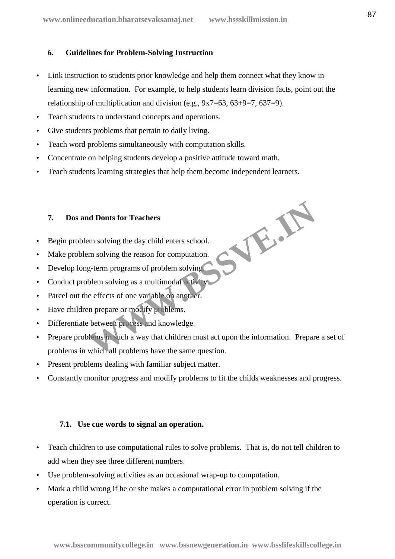### **6. Guidelines for Problem-Solving Instruction**

- Link instruction to students prior knowledge and help them connect what they know in learning new information. For example, to help students learn division facts, point out the relationship of multiplication and division (e.g.,  $9x7=63$ ,  $63+9=7$ ,  $637=9$ ).
- Teach students to understand concepts and operations.
- Give students problems that pertain to daily living.
- Teach word problems simultaneously with computation skills.
- Concentrate on helping students develop a positive attitude toward math.
- Teach students learning strategies that help them become independent learners.

### **7. Dos and Donts for Teachers**

- Begin problem solving the day child enters school.
- Make problem solving the reason for computation.
- Develop long-term programs of problem solving.
- Conduct problem solving as a multimodal activity.
- Parcel out the effects of one variable on another.
- Have children prepare or modify problems.
- Differentiate between process and knowledge.
- Prepare problems in such a way that children must act upon the information. Prepare a set of problems in which all problems have the same question.

W.B.W

- Present problems dealing with familiar subject matter.
- Constantly monitor progress and modify problems to fit the childs weaknesses and progress.

### **7.1. Use cue words to signal an operation.**

- Teach children to use computational rules to solve problems. That is, do not tell children to add when they see three different numbers.
- Use problem-solving activities as an occasional wrap-up to computation.
- Mark a child wrong if he or she makes a computational error in problem solving if the operation is correct.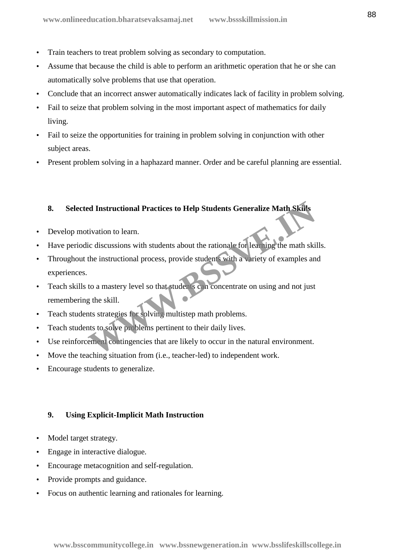- Train teachers to treat problem solving as secondary to computation.
- Assume that because the child is able to perform an arithmetic operation that he or she can automatically solve problems that use that operation.
- Conclude that an incorrect answer automatically indicates lack of facility in problem solving.
- Fail to seize that problem solving in the most important aspect of mathematics for daily living.
- Fail to seize the opportunities for training in problem solving in conjunction with other subject areas.
- Present problem solving in a haphazard manner. Order and be careful planning are essential.

### **8. Selected Instructional Practices to Help Students Generalize Math Skills**

- Develop motivation to learn.
- Have periodic discussions with students about the rationale for learning the math skills.
- Throughout the instructional process, provide students with a variety of examples and experiences.
- Teach skills to a mastery level so that students can concentrate on using and not just remembering the skill. **Example 18 Instructional Practices to Help Students Generalize Math Skills**<br>tivation to learn.<br>ic discussions with students about the rational for learning the math ski<br>the instructional process, provide students with a v
- Teach students strategies for solving multistep math problems.
- Teach students to solve problems pertinent to their daily lives.
- Use reinforcement contingencies that are likely to occur in the natural environment.
- Move the teaching situation from (i.e., teacher-led) to independent work.
- Encourage students to generalize.

### **9. Using Explicit-Implicit Math Instruction**

- Model target strategy.
- Engage in interactive dialogue.
- Encourage metacognition and self-regulation.
- Provide prompts and guidance.
- Focus on authentic learning and rationales for learning.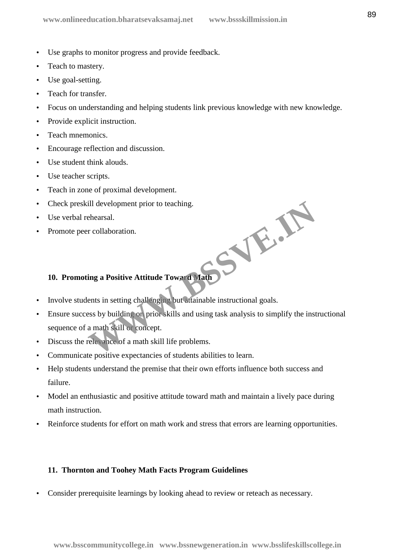- Use graphs to monitor progress and provide feedback.
- Teach to mastery.
- Use goal-setting.
- Teach for transfer
- Focus on understanding and helping students link previous knowledge with new knowledge.
- Provide explicit instruction.
- Teach mnemonics.
- Encourage reflection and discussion.
- Use student think alouds.
- Use teacher scripts.
- Teach in zone of proximal development.
- Check preskill development prior to teaching.
- Use verbal rehearsal.
- Promote peer collaboration.

# **10. Promoting a Positive Attitude Toward Math WWW.BSSVE.IN**

- Involve students in setting challenging but attainable instructional goals.
- Ensure success by building on prior skills and using task analysis to simplify the instructional sequence of a math skill or concept.
- Discuss the relevance of a math skill life problems.
- Communicate positive expectancies of students abilities to learn.
- Help students understand the premise that their own efforts influence both success and failure.
- Model an enthusiastic and positive attitude toward math and maintain a lively pace during math instruction.
- Reinforce students for effort on math work and stress that errors are learning opportunities.

### **11. Thornton and Toohey Math Facts Program Guidelines**

Consider prerequisite learnings by looking ahead to review or reteach as necessary.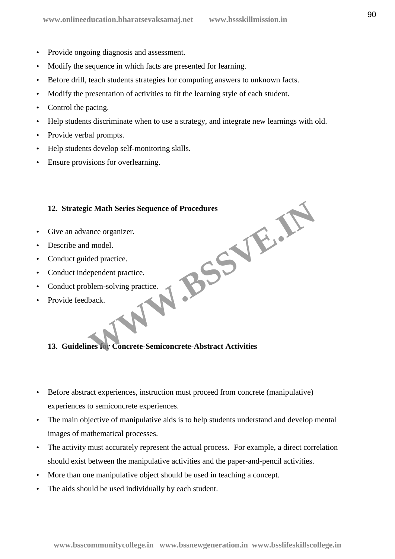- Provide ongoing diagnosis and assessment.
- Modify the sequence in which facts are presented for learning.
- Before drill, teach students strategies for computing answers to unknown facts.
- Modify the presentation of activities to fit the learning style of each student.
- Control the pacing.
- Help students discriminate when to use a strategy, and integrate new learnings with old.
- Provide verbal prompts.
- Help students develop self-monitoring skills.
- Ensure provisions for overlearning.

# **12. Strategic Math Series Sequence of Procedures WASSVE.IN**

- Give an advance organizer.
- Describe and model.
- Conduct guided practice.
- Conduct independent practice.
- Conduct problem-solving practice.
- Provide feedback.

### **13. Guidelines for Concrete-Semiconcrete-Abstract Activities**

- Before abstract experiences, instruction must proceed from concrete (manipulative) experiences to semiconcrete experiences.
- The main objective of manipulative aids is to help students understand and develop mental images of mathematical processes.
- The activity must accurately represent the actual process. For example, a direct correlation should exist between the manipulative activities and the paper-and-pencil activities.
- More than one manipulative object should be used in teaching a concept.
- The aids should be used individually by each student.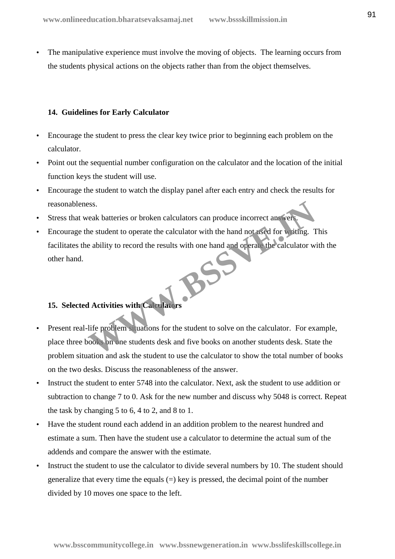The manipulative experience must involve the moving of objects. The learning occurs from the students physical actions on the objects rather than from the object themselves.

### **14. Guidelines for Early Calculator**

- Encourage the student to press the clear key twice prior to beginning each problem on the calculator.
- Point out the sequential number configuration on the calculator and the location of the initial function keys the student will use.
- Encourage the student to watch the display panel after each entry and check the results for reasonableness.
- Stress that weak batteries or broken calculators can produce incorrect answers
- Encourage the student to operate the calculator with the hand not used for writing. This facilitates the ability to record the results with one hand and operate the calculator with the other hand. other hand. Examples and the student to operate the calculators can produce incorrect answers<br>
the student to operate the calculator with the hand not used for whiting. The ability to record the results with one hand and operate the c

### **15. Selected Activities with Calculators**

- Present real-life problem situations for the student to solve on the calculator. For example, place three books on one students desk and five books on another students desk. State the problem situation and ask the student to use the calculator to show the total number of books on the two desks. Discuss the reasonableness of the answer.
- Instruct the student to enter 5748 into the calculator. Next, ask the student to use addition or subtraction to change 7 to 0. Ask for the new number and discuss why 5048 is correct. Repeat the task by changing 5 to 6, 4 to 2, and 8 to 1.
- Have the student round each addend in an addition problem to the nearest hundred and estimate a sum. Then have the student use a calculator to determine the actual sum of the addends and compare the answer with the estimate.
- Instruct the student to use the calculator to divide several numbers by 10. The student should generalize that every time the equals  $(=)$  key is pressed, the decimal point of the number divided by 10 moves one space to the left.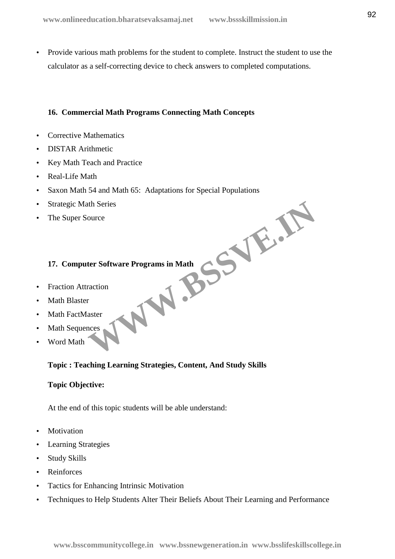Provide various math problems for the student to complete. Instruct the student to use the calculator as a self-correcting device to check answers to completed computations.

### **16. Commercial Math Programs Connecting Math Concepts**

- Corrective Mathematics
- DISTAR Arithmetic
- Key Math Teach and Practice
- Real-Life Math
- Saxon Math 54 and Math 65: Adaptations for Special Populations
- Strategic Math Series
- The Super Source

# **17. Computer Software Programs in Math** the Series<br>ource<br>ter Software Programs in Math<br>raction<br>aster<br>noces

- Fraction Attraction
- Math Blaster
- Math FactMaster
- Math Sequences
- Word Math

### **Topic : Teaching Learning Strategies, Content, And Study Skills**

### **Topic Objective:**

At the end of this topic students will be able understand:

- Motivation
- Learning Strategies
- Study Skills
- Reinforces
- Tactics for Enhancing Intrinsic Motivation
- Techniques to Help Students Alter Their Beliefs About Their Learning and Performance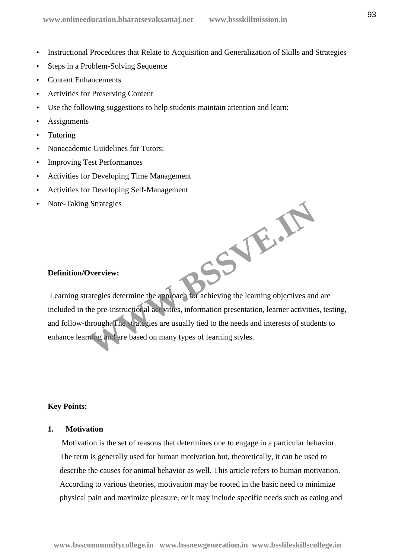- Instructional Procedures that Relate to Acquisition and Generalization of Skills and Strategies
- Steps in a Problem-Solving Sequence
- Content Enhancements
- Activities for Preserving Content
- Use the following suggestions to help students maintain attention and learn:
- **Assignments**
- Tutoring
- Nonacademic Guidelines for Tutors:
- Improving Test Performances
- Activities for Developing Time Management
- Activities for Developing Self-Management
- Note-Taking Strategies

### **Definition/Overview:**

Learning strategies determine the approach for achieving the learning objectives and are included in the pre-instructional activities, information presentation, learner activities, testing, and follow-through. The strategies are usually tied to the needs and interests of students to enhance learning and are based on many types of learning styles. **WWW.BSSVE.IN**

### **Key Points:**

### **1. Motivation**

Motivation is the set of reasons that determines one to engage in a particular behavior. The term is generally used for human motivation but, theoretically, it can be used to describe the causes for animal behavior as well. This article refers to human motivation. According to various theories, motivation may be rooted in the basic need to minimize physical pain and maximize pleasure, or it may include specific needs such as eating and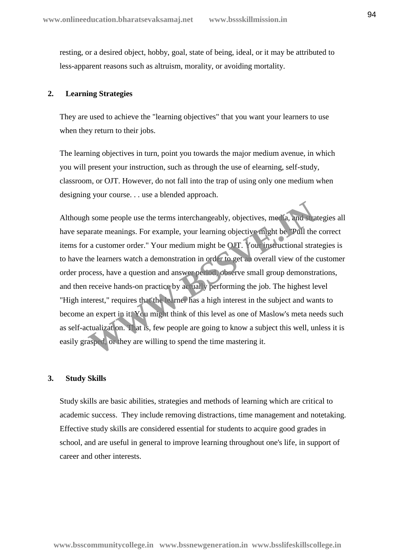resting, or a desired object, hobby, goal, state of being, ideal, or it may be attributed to less-apparent reasons such as altruism, morality, or avoiding mortality.

### **2. Learning Strategies**

They are used to achieve the "learning objectives" that you want your learners to use when they return to their jobs.

The learning objectives in turn, point you towards the major medium avenue, in which you will present your instruction, such as through the use of elearning, self-study, classroom, or OJT. However, do not fall into the trap of using only one medium when designing your course. . . use a blended approach.

Although some people use the terms interchangeably, objectives, media, and strategies all have separate meanings. For example, your learning objective might be "Pull the correct items for a customer order." Your medium might be OJT. Your instructional strategies is to have the learners watch a demonstration in order to get an overall view of the customer order process, have a question and answer period, observe small group demonstrations, and then receive hands-on practice by actually performing the job. The highest level "High interest," requires that the learner has a high interest in the subject and wants to become an expert in it. You might think of this level as one of Maslow's meta needs such as self-actualization. That is, few people are going to know a subject this well, unless it is easily grasped, or they are willing to spend the time mastering it. n some people use the terms interchangeably, objectives, media, and strangent arate meanings. For example, your learning objective might be "Pull the accustomer order." Your medium might be OFT. Your instructional strangen

### **3. Study Skills**

Study skills are basic abilities, strategies and methods of learning which are critical to academic success. They include removing distractions, time management and notetaking. Effective study skills are considered essential for students to acquire good grades in school, and are useful in general to improve learning throughout one's life, in support of career and other interests.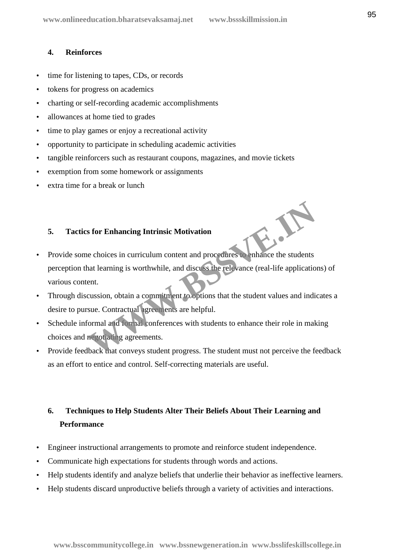### **4. Reinforces**

- time for listening to tapes, CDs, or records
- tokens for progress on academics
- charting or self-recording academic accomplishments
- allowances at home tied to grades
- time to play games or enjoy a recreational activity
- opportunity to participate in scheduling academic activities
- tangible reinforcers such as restaurant coupons, magazines, and movie tickets
- exemption from some homework or assignments
- extra time for a break or lunch

### **5. Tactics for Enhancing Intrinsic Motivation**

- Provide some choices in curriculum content and procedures to enhance the students perception that learning is worthwhile, and discuss the relevance (real-life applications) of various content. S for Enhancing Intrinsic Motivation<br>
e choices in curriculum content and procedures to enhance the students<br>
hat learning is worthwhile, and discuss the relevance (real-life application<br>
ent.<br>
cussion, obtain a commitment
- Through discussion, obtain a commitment to options that the student values and indicates a desire to pursue. Contractual agreements are helpful.
- Schedule informal and formal conferences with students to enhance their role in making choices and negotiating agreements.
- Provide feedback that conveys student progress. The student must not perceive the feedback as an effort to entice and control. Self-correcting materials are useful.

## **6. Techniques to Help Students Alter Their Beliefs About Their Learning and Performance**

- Engineer instructional arrangements to promote and reinforce student independence.
- Communicate high expectations for students through words and actions.
- Help students identify and analyze beliefs that underlie their behavior as ineffective learners.
- Help students discard unproductive beliefs through a variety of activities and interactions.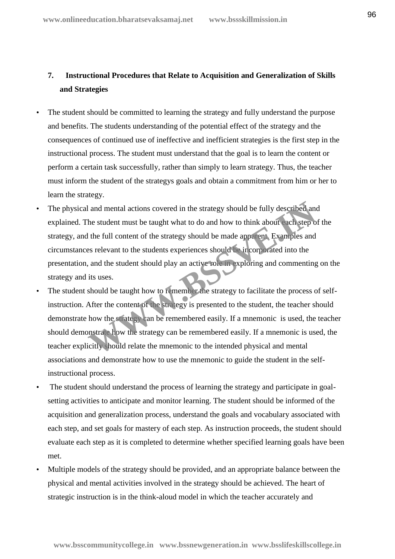## **7. Instructional Procedures that Relate to Acquisition and Generalization of Skills and Strategies**

- The student should be committed to learning the strategy and fully understand the purpose and benefits. The students understanding of the potential effect of the strategy and the consequences of continued use of ineffective and inefficient strategies is the first step in the instructional process. The student must understand that the goal is to learn the content or perform a certain task successfully, rather than simply to learn strategy. Thus, the teacher must inform the student of the strategys goals and obtain a commitment from him or her to learn the strategy.
- The physical and mental actions covered in the strategy should be fully described and explained. The student must be taught what to do and how to think about each step of the strategy, and the full content of the strategy should be made apparent. Examples and circumstances relevant to the students experiences should be incorporated into the presentation, and the student should play an active role in exploring and commenting on the strategy and its uses. I and mental actions covered in the strategy should be fully described and<br>he student must be taught what to do and how to think about each step of<br>the full content of the strategy should be made apparent. Examples and<br>es
- The student should be taught how to remember the strategy to facilitate the process of selfinstruction. After the content of the strategy is presented to the student, the teacher should demonstrate how the strategy can be remembered easily. If a mnemonic is used, the teacher should demonstrate how the strategy can be remembered easily. If a mnemonic is used, the teacher explicitly should relate the mnemonic to the intended physical and mental associations and demonstrate how to use the mnemonic to guide the student in the selfinstructional process.
- The student should understand the process of learning the strategy and participate in goal setting activities to anticipate and monitor learning. The student should be informed of the acquisition and generalization process, understand the goals and vocabulary associated with each step, and set goals for mastery of each step. As instruction proceeds, the student should evaluate each step as it is completed to determine whether specified learning goals have been met.
- Multiple models of the strategy should be provided, and an appropriate balance between the physical and mental activities involved in the strategy should be achieved. The heart of strategic instruction is in the think-aloud model in which the teacher accurately and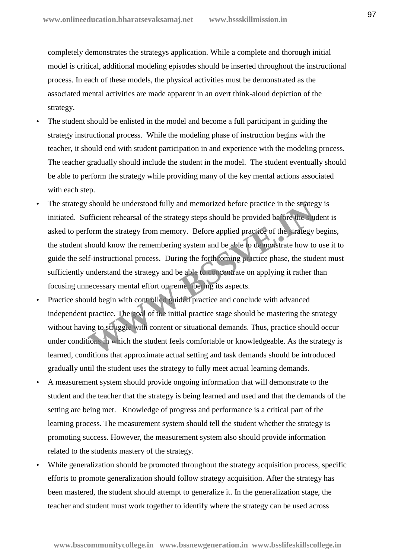completely demonstrates the strategys application. While a complete and thorough initial model is critical, additional modeling episodes should be inserted throughout the instructional process. In each of these models, the physical activities must be demonstrated as the associated mental activities are made apparent in an overt think-aloud depiction of the strategy.

- The student should be enlisted in the model and become a full participant in guiding the strategy instructional process. While the modeling phase of instruction begins with the teacher, it should end with student participation in and experience with the modeling process. The teacher gradually should include the student in the model. The student eventually should be able to perform the strategy while providing many of the key mental actions associated with each step.
- The strategy should be understood fully and memorized before practice in the strategy is initiated. Sufficient rehearsal of the strategy steps should be provided before the student is asked to perform the strategy from memory. Before applied practice of the strategy begins, the student should know the remembering system and be able to demonstrate how to use it to guide the self-instructional process. During the forthcoming practice phase, the student must sufficiently understand the strategy and be able to concentrate on applying it rather than focusing unnecessary mental effort on remembering its aspects. should be understood fully and memorized before practice in the strategy fficient rehearsal of the strategy steps should be provided before the strategy from the strategy from memory. Before applied practice of the strateg
- Practice should begin with controlled guided practice and conclude with advanced independent practice. The goal of the initial practice stage should be mastering the strategy without having to struggle with content or situational demands. Thus, practice should occur under conditions in which the student feels comfortable or knowledgeable. As the strategy is learned, conditions that approximate actual setting and task demands should be introduced gradually until the student uses the strategy to fully meet actual learning demands.
- A measurement system should provide ongoing information that will demonstrate to the student and the teacher that the strategy is being learned and used and that the demands of the setting are being met. Knowledge of progress and performance is a critical part of the learning process. The measurement system should tell the student whether the strategy is promoting success. However, the measurement system also should provide information related to the students mastery of the strategy.
- While generalization should be promoted throughout the strategy acquisition process, specific efforts to promote generalization should follow strategy acquisition. After the strategy has been mastered, the student should attempt to generalize it. In the generalization stage, the teacher and student must work together to identify where the strategy can be used across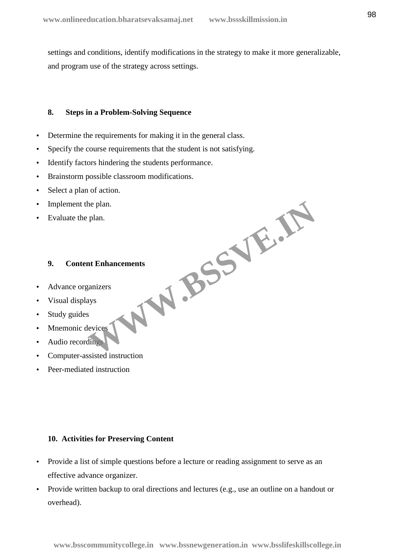settings and conditions, identify modifications in the strategy to make it more generalizable, and program use of the strategy across settings.

### **8. Steps in a Problem-Solving Sequence**

- Determine the requirements for making it in the general class.
- Specify the course requirements that the student is not satisfying.
- Identify factors hindering the students performance.
- Brainstorm possible classroom modifications.
- Select a plan of action.
- Implement the plan.
- Evaluate the plan.

# **9. Content Enhancements** WW.BSSVE.IN

- Advance organizers
- Visual displays
- Study guides
- Mnemonic device
- $\bullet$  Audio recording
- Computer-assisted instruction
- Peer-mediated instruction

### **10. Activities for Preserving Content**

- Provide a list of simple questions before a lecture or reading assignment to serve as an effective advance organizer.
- Provide written backup to oral directions and lectures (e.g., use an outline on a handout or overhead).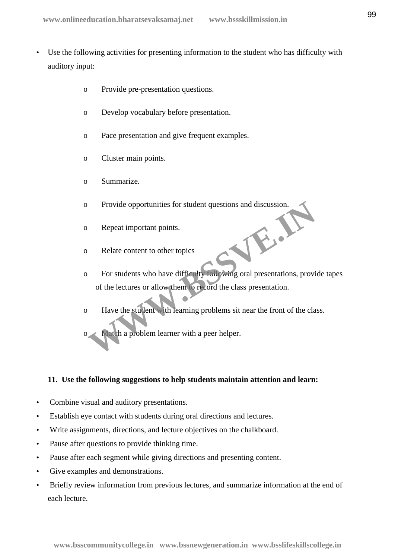- Use the following activities for presenting information to the student who has difficulty with auditory input:
	- o Provide pre-presentation questions.
	- o Develop vocabulary before presentation.
	- o Pace presentation and give frequent examples.
	- o Cluster main points.
	- o Summarize.
	- o Provide opportunities for student questions and discussion. WE.AS
	- o Repeat important points.
	- o Relate content to other topics
	- o For students who have difficulty following oral presentations, provide tapes of the lectures or allow them to record the class presentation.
	- o Have the student with learning problems sit near the front of the class.

Match a problem learner with a peer helper.

### **11. Use the following suggestions to help students maintain attention and learn:**

- Combine visual and auditory presentations.
- Establish eye contact with students during oral directions and lectures.
- Write assignments, directions, and lecture objectives on the chalkboard.
- Pause after questions to provide thinking time.
- Pause after each segment while giving directions and presenting content.
- Give examples and demonstrations.
- Briefly review information from previous lectures, and summarize information at the end of each lecture.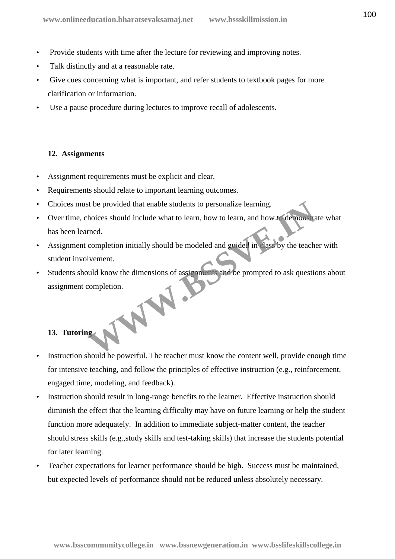- Provide students with time after the lecture for reviewing and improving notes.
- Talk distinctly and at a reasonable rate.
- Give cues concerning what is important, and refer students to textbook pages for more clarification or information.
- Use a pause procedure during lectures to improve recall of adolescents.

### **12. Assignments**

- Assignment requirements must be explicit and clear.
- Requirements should relate to important learning outcomes.
- Choices must be provided that enable students to personalize learning.
- Over time, choices should include what to learn, how to learn, and how to demonstrate what has been learned.
- Assignment completion initially should be modeled and guided in class by the teacher with student involvement.
- Students should know the dimensions of assignments and be prompted to ask questions about assignment completion. WWW.

### **13. Tutoring**

- Instruction should be powerful. The teacher must know the content well, provide enough time for intensive teaching, and follow the principles of effective instruction (e.g., reinforcement, engaged time, modeling, and feedback).
- Instruction should result in long-range benefits to the learner. Effective instruction should diminish the effect that the learning difficulty may have on future learning or help the student function more adequately. In addition to immediate subject-matter content, the teacher should stress skills (e.g.,study skills and test-taking skills) that increase the students potential for later learning.
- Teacher expectations for learner performance should be high. Success must be maintained, but expected levels of performance should not be reduced unless absolutely necessary.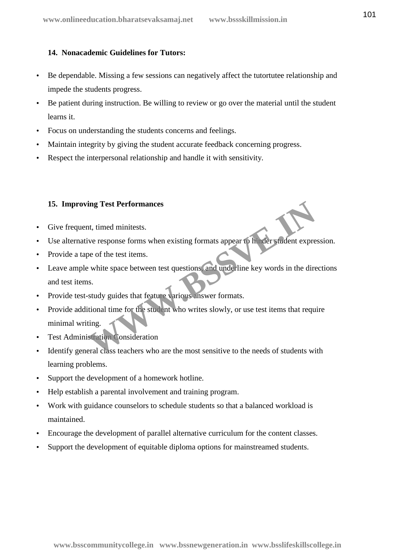### **14. Nonacademic Guidelines for Tutors:**

- Be dependable. Missing a few sessions can negatively affect the tutortutee relationship and impede the students progress.
- Be patient during instruction. Be willing to review or go over the material until the student learns it.
- Focus on understanding the students concerns and feelings.
- Maintain integrity by giving the student accurate feedback concerning progress.
- Respect the interpersonal relationship and handle it with sensitivity.

### **15. Improving Test Performances**

- Give frequent, timed minitests.
- Use alternative response forms when existing formats appear to hinder student expression.
- Provide a tape of the test items.
- Leave ample white space between test questions, and underline key words in the directions and test items. **Example 18 Text Performances**<br>
It, timed minitests.<br>
We response forms when existing formats appear to hander student expresses of the test items.<br>
White space between test questions and underline key words in the directi
- Provide test-study guides that feature various answer formats.
- Provide additional time for the student who writes slowly, or use test items that require minimal writing.
- Test Administration Consideration
- Identify general class teachers who are the most sensitive to the needs of students with learning problems.
- Support the development of a homework hotline.
- Help establish a parental involvement and training program.
- Work with guidance counselors to schedule students so that a balanced workload is maintained.
- Encourage the development of parallel alternative curriculum for the content classes.
- Support the development of equitable diploma options for mainstreamed students.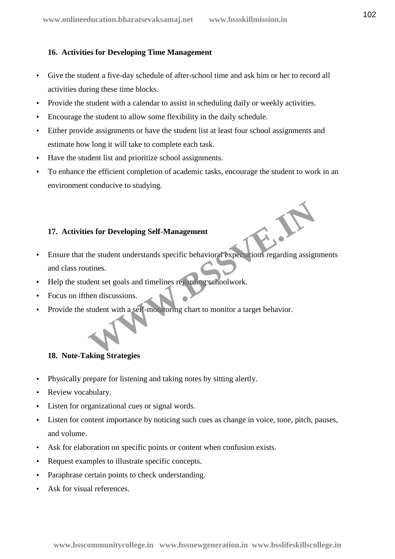### **16. Activities for Developing Time Management**

- Give the student a five-day schedule of after-school time and ask him or her to record all activities during these time blocks.
- Provide the student with a calendar to assist in scheduling daily or weekly activities.
- Encourage the student to allow some flexibility in the daily schedule.
- Either provide assignments or have the student list at least four school assignments and estimate how long it will take to complete each task.
- Have the student list and prioritize school assignments.
- To enhance the efficient completion of academic tasks, encourage the student to work in an environment conducive to studying.

### **17. Activities for Developing Self-Management**

- Ensure that the student understands specific behavioral expectations regarding assignments and class routines. Examples September 1993<br>
The student understands specific behavioral expectations regarding assign<br>
and the student understands specific behavioral expectations regarding assign<br>
and iscussions.<br>
Examples the monotonic sta
- Help the student set goals and timelines regarding schoolwork.
- Focus on ifthen discussions.
- Provide the student with a self-monitoring chart to monitor a target behavior.

### **18. Note-Taking Strategies**

- Physically prepare for listening and taking notes by sitting alertly.
- Review vocabulary.
- Listen for organizational cues or signal words.
- Listen for content importance by noticing such cues as change in voice, tone, pitch, pauses, and volume.
- Ask for elaboration on specific points or content when confusion exists.
- Request examples to illustrate specific concepts.
- Paraphrase certain points to check understanding.
- Ask for visual references.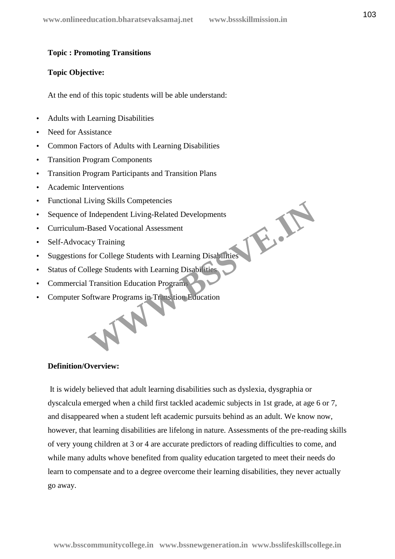### **Topic : Promoting Transitions**

### **Topic Objective:**

At the end of this topic students will be able understand:

- Adults with Learning Disabilities
- Need for Assistance
- Common Factors of Adults with Learning Disabilities
- Transition Program Components
- Transition Program Participants and Transition Plans
- Academic Interventions
- Functional Living Skills Competencies
- Sequence of Independent Living-Related Developments
- Curriculum-Based Vocational Assessment
- Self-Advocacy Training
- Suggestions for College Students with Learning Disabilities Tring Skins Competencies<br>
Independent Living-Related Developments<br>
Based Vocational Assessment<br>
raining<br>
for College Students with Learning Disabilities<br>
Ilege Students with Learning Disabilities<br>
Transition Education<br>
Pro
- Status of College Students with Learning Disabilities
- Commercial Transition Education Programs
- Computer Software Programs in Transition Education

### **Definition/Overview:**

It is widely believed that adult learning disabilities such as dyslexia, dysgraphia or dyscalcula emerged when a child first tackled academic subjects in 1st grade, at age 6 or 7, and disappeared when a student left academic pursuits behind as an adult. We know now, however, that learning disabilities are lifelong in nature. Assessments of the pre-reading skills of very young children at 3 or 4 are accurate predictors of reading difficulties to come, and while many adults whove benefited from quality education targeted to meet their needs do learn to compensate and to a degree overcome their learning disabilities, they never actually go away.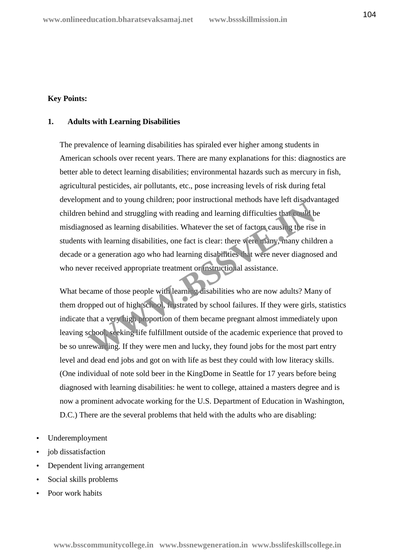### **Key Points:**

### **1. Adults with Learning Disabilities**

The prevalence of learning disabilities has spiraled ever higher among students in American schools over recent years. There are many explanations for this: diagnostics are better able to detect learning disabilities; environmental hazards such as mercury in fish, agricultural pesticides, air pollutants, etc., pose increasing levels of risk during fetal development and to young children; poor instructional methods have left disadvantaged children behind and struggling with reading and learning difficulties that could be misdiagnosed as learning disabilities. Whatever the set of factors causing the rise in students with learning disabilities, one fact is clear: there were many, many children a decade or a generation ago who had learning disabilities that were never diagnosed and who never received appropriate treatment or instructional assistance. behind and struggling with reading and learning difficulties that could behind and struggling with reading and learning difficulties that could be<br>nosed as learning disabilities. Whatever the set of factors causing the ris

What became of those people with learning disabilities who are now adults? Many of them dropped out of high school, frustrated by school failures. If they were girls, statistics indicate that a very high proportion of them became pregnant almost immediately upon leaving school, seeking life fulfillment outside of the academic experience that proved to be so unrewarding. If they were men and lucky, they found jobs for the most part entry level and dead end jobs and got on with life as best they could with low literacy skills. (One individual of note sold beer in the KingDome in Seattle for 17 years before being diagnosed with learning disabilities: he went to college, attained a masters degree and is now a prominent advocate working for the U.S. Department of Education in Washington, D.C.) There are the several problems that held with the adults who are disabling:

- Underemployment
- job dissatisfaction
- Dependent living arrangement
- Social skills problems
- Poor work habits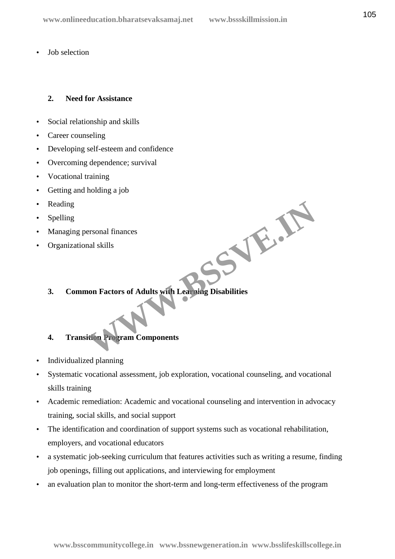**WWW.BSSVE.IN**

Job selection

### **2. Need for Assistance**

- Social relationship and skills
- Career counseling
- Developing self-esteem and confidence
- Overcoming dependence; survival
- Vocational training
- Getting and holding a job
- Reading
- Spelling
- Managing personal finances
- Organizational skills
	- **3. Common Factors of Adults with Learning Disabilities**

### **4. Transition Program Components**

- Individualized planning
- Systematic vocational assessment, job exploration, vocational counseling, and vocational skills training
- Academic remediation: Academic and vocational counseling and intervention in advocacy training, social skills, and social support
- The identification and coordination of support systems such as vocational rehabilitation, employers, and vocational educators
- a systematic job-seeking curriculum that features activities such as writing a resume, finding job openings, filling out applications, and interviewing for employment
- an evaluation plan to monitor the short-term and long-term effectiveness of the program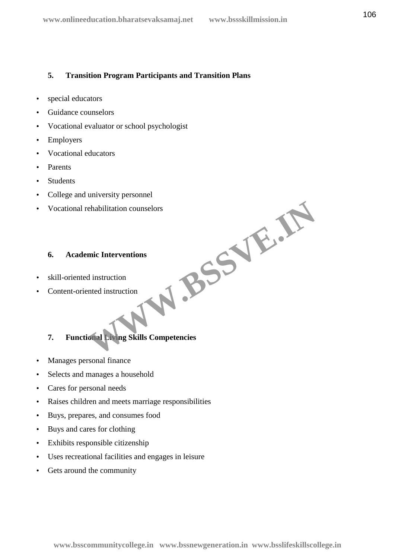### **5. Transition Program Participants and Transition Plans**

- special educators
- Guidance counselors
- Vocational evaluator or school psychologist
- Employers
- Vocational educators
- Parents
- **Students**
- College and university personnel
- Vocational rehabilitation counselors **WWW.BSSVE.IN**

### **6. Academic Interventions**

- skill-oriented instruction
- Content-oriented instruction

# **7. Functional Living Skills Competencies**

- Manages personal finance
- Selects and manages a household
- Cares for personal needs
- Raises children and meets marriage responsibilities
- Buys, prepares, and consumes food
- Buys and cares for clothing
- Exhibits responsible citizenship
- Uses recreational facilities and engages in leisure
- Gets around the community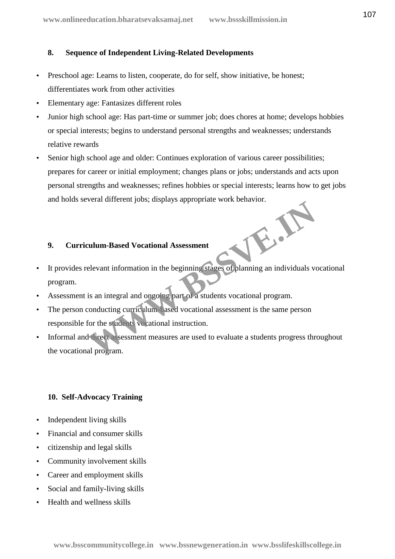### **8. Sequence of Independent Living-Related Developments**

- Preschool age: Learns to listen, cooperate, do for self, show initiative, be honest; differentiates work from other activities
- Elementary age: Fantasizes different roles
- Junior high school age: Has part-time or summer job; does chores at home; develops hobbies or special interests; begins to understand personal strengths and weaknesses; understands relative rewards
- Senior high school age and older: Continues exploration of various career possibilities; prepares for career or initial employment; changes plans or jobs; understands and acts upon personal strengths and weaknesses; refines hobbies or special interests; learns how to get jobs and holds several different jobs; displays appropriate work behavior.

### **9. Curriculum-Based Vocational Assessment**

- It provides relevant information in the beginning stages of planning an individuals vocational program. **Example 18 Alle We are alleved to the Superior Selectional Assessment**<br>
Elevant information in the beginning stages of planning an individuals ve<br>
is an integral and ongo ne part of a students vocational program.<br>
Conduct
- Assessment is an integral and ongoing part of a students vocational program.
- The person conducting curriculum-based vocational assessment is the same person responsible for the students vocational instruction.
- Informal and direct assessment measures are used to evaluate a students progress throughout the vocational program.

### **10. Self-Advocacy Training**

- Independent living skills
- Financial and consumer skills
- citizenship and legal skills
- Community involvement skills
- Career and employment skills
- Social and family-living skills
- Health and wellness skills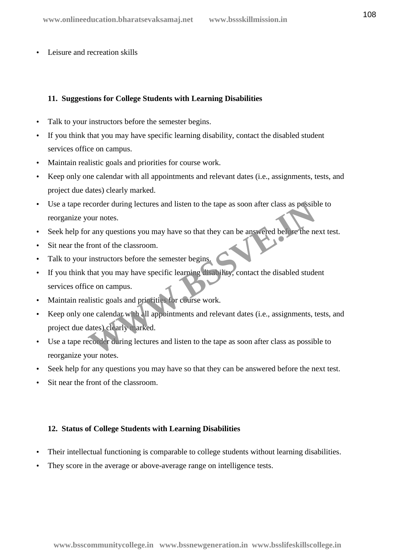Leisure and recreation skills

### **11. Suggestions for College Students with Learning Disabilities**

- Talk to your instructors before the semester begins.
- If you think that you may have specific learning disability, contact the disabled student services office on campus.
- Maintain realistic goals and priorities for course work.
- Keep only one calendar with all appointments and relevant dates (i.e., assignments, tests, and project due dates) clearly marked.
- Use a tape recorder during lectures and listen to the tape as soon after class as possible to reorganize your notes.
- Seek help for any questions you may have so that they can be answered before the next test.
- Sit near the front of the classroom.
- Talk to your instructors before the semester begins.
- If you think that you may have specific learning disability, contact the disabled student services office on campus. Exercise and listen to the tape as soon after class as possib<br>
our notes.<br>
The any questions you may have so that they can be answered before the net<br>
front of the classroom.<br>
instructors before the semester begins<br>
that y
- Maintain realistic goals and priorities for course work.
- Keep only one calendar with all appointments and relevant dates (i.e., assignments, tests, and project due dates) clearly marked.
- Use a tape recorder during lectures and listen to the tape as soon after class as possible to reorganize your notes.
- Seek help for any questions you may have so that they can be answered before the next test.
- Sit near the front of the classroom.

## **12. Status of College Students with Learning Disabilities**

- Their intellectual functioning is comparable to college students without learning disabilities.
- They score in the average or above-average range on intelligence tests.